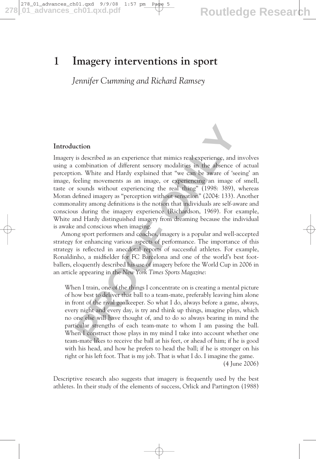*Jennifer Cumming and Richard Ramsey*

# **Introduction**

**Example 18** is described as an experience that mimics real experience, and invo<br>combination of different sensory modalities in the disence of acco<br>on. White and Hardy explained that "we can be aware of sceing<br>feeling move Imagery is described as an experience that mimics real experience, and involves using a combination of different sensory modalities in the absence of actual perception. White and Hardy explained that "we can be aware of 'seeing' an image, feeling movements as an image, or experiencing an image of smell, taste or sounds without experiencing the real thing" (1998: 389), whereas Moran defined imagery as "perception without sensation" (2004: 133). Another commonality among definitions is the notion that individuals are self-aware and conscious during the imagery experience (Richardson, 1969). For example, White and Hardy distinguished imagery from dreaming because the individual is awake and conscious when imaging.

Among sport performers and coaches, imagery is a popular and well-accepted strategy for enhancing various aspects of performance. The importance of this strategy is reflected in anecdotal reports of successful athletes. For example, Ronaldinho, a midfielder for FC Barcelona and one of the world's best footballers, eloquently described his use of imagery before the World Cup in 2006 in an article appearing in the *New York Times Sports Magazine*:

When I train, one of the things I concentrate on is creating a mental picture of how best to deliver that ball to a team-mate, preferably leaving him alone in front of the rival goalkeeper. So what I do, always before a game, always, every night and every day, is try and think up things, imagine plays, which no one else will have thought of, and to do so always bearing in mind the particular strengths of each team-mate to whom I am passing the ball. When I construct those plays in my mind I take into account whether one team-mate likes to receive the ball at his feet, or ahead of him; if he is good with his head, and how he prefers to head the ball; if he is stronger on his right or his left foot. That is my job. That is what I do. I imagine the game.

(4 June 2006)

Descriptive research also suggests that imagery is frequently used by the best athletes. In their study of the elements of success, Orlick and Partington (1988)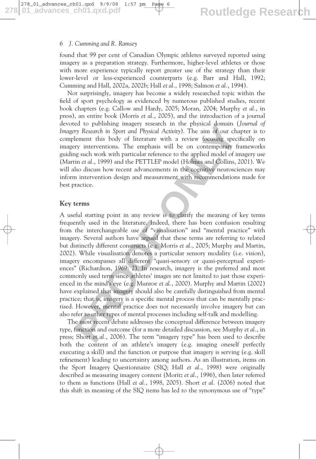found that 99 per cent of Canadian Olympic athletes surveyed reported using imagery as a preparation strategy. Furthermore, higher-level athletes or those with more experience typically report greater use of the strategy than their lower-level or less-experienced counterparts (e.g. Barr and Hall, 1992; Cumming and Hall, 2002a, 2002b; Hall *et al.*, 1998; Salmon *et al.*, 1994).

Not surprisingly, imagery has become a widely researched topic within the field of sport psychology as evidenced by numerous published studies, recent book chapters (e.g. Callow and Hardy, 2005; Moran, 2004; Murphy *et al.*, in press), an entire book (Morris *et al.*, 2005), and the introduction of a journal devoted to publishing imagery research in the physical domain (*Journal of Imagery Research in Sport and Physical Activity*). The aim of our chapter is to complement this body of literature with a review focusing specifically on imagery interventions. The emphasis will be on contemporary frameworks guiding such work with particular reference to the applied model of imagery use (Martin *et al.*, 1999) and the PETTLEP model (Holmes and Collins, 2001). We will also discuss how recent advancements in the cognitive neurosciences may inform intervention design and measurement with recommendations made for best practice.

# **Key terms**

ed to publishing imagery research in the physical domain (*Jouenner*) enery Research in Sport and Physical Activity). The aim of our chaptement this body of literature with a review focusing specificary interventions. The A useful starting point in any review is to clarify the meaning of key terms frequently used in the literature. Indeed, there has been confusion resulting from the interchangeable use of "visualisation" and "mental practice" with imagery. Several authors have argued that these terms are referring to related but distinctly different constructs (e.g. Morris *et al.*, 2005; Murphy and Martin, 2002). While visualisation denotes a particular sensory modality (i.e. vision), imagery encompasses all different "quasi-sensory or quasi-perceptual experiences" (Richardson, 1969: 2). In research, imagery is the preferred and most commonly used term since athletes' images are not limited to just those experienced in the mind's eye (e.g. Munroe *et al.*, 2000). Murphy and Martin (2002) have explained that imagery should also be carefully distinguished from mental practice; that is, imagery is a specific mental process that can be mentally practised. However, mental practice does not necessarily involve imagery but can also refer to other types of mental processes including self-talk and modelling.

The most recent debate addresses the conceptual difference between imagery type, function and outcome (for a more detailed discussion, see Murphy *et al.*, in press; Short *et al.*, 2006). The term "imagery type" has been used to describe both the content of an athlete's imagery (e.g. imaging oneself perfectly executing a skill) and the function or purpose that imagery is serving (e.g. skill refinement) leading to uncertainty among authors. As an illustration, items on the Sport Imagery Questionnaire (SIQ; Hall *et al.*, 1998) were originally described as measuring imagery content (Moritz *et al.*, 1996), then later referred to them as functions (Hall *et al.*, 1998, 2005). Short *et al.* (2006) noted that this shift in meaning of the SIQ items has led to the synonymous use of "type"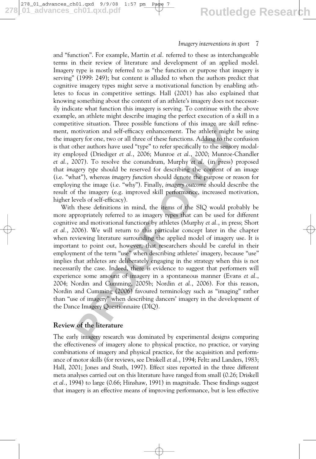and "function". For example, Martin *et al.* referred to these as interchangeable terms in their review of literature and development of an applied model. Imagery type is mostly referred to as "the function or purpose that imagery is serving" (1999: 249); but content is alluded to when the authors predict that cognitive imagery types might serve a motivational function by enabling athletes to focus in competitive settings. Hall (2001) has also explained that knowing something about the content of an athlete's imagery does not necessarily indicate what function this imagery is serving. To continue with the above example, an athlete might describe imaging the perfect execution of a skill in a competitive situation. Three possible functions of this image are skill refinement, motivation and self-efficacy enhancement. The athlete might be using the imagery for one, two or all three of these functions. Adding to the confusion is that other authors have used "type" to refer specifically to the sensory modality employed (Driediger *et al.*, 2006; Munroe *et al.*, 2000; Munroe-Chandler *et al.*, 2007). To resolve the conundrum, Murphy *et al.* (in press) proposed that *imagery type* should be reserved for describing the content of an image (i.e. "what"), whereas *imagery function* should denote the purpose or reason for employing the image (i.e. "why"). Finally, *imagery outcome* should describe the result of the imagery (e.g. improved skill performance, increased motivation, higher levels of self-efficacy).

tive situation. I hree possible inatcrions of this image are skull reit treativation and self-efficacy enhancement. The athlete might be gery for one, two or all three of these functions. Adding to the confutery for one, t With these definitions in mind, the items of the SIQ would probably be more appropriately referred to as imagery types that can be used for different cognitive and motivational functions by athletes (Murphy *et al.*, in press; Short *et al.*, 2006). We will return to this particular concept later in the chapter when reviewing literature surrounding the applied model of imagery use. It is important to point out, however, that researchers should be careful in their employment of the term "use" when describing athletes' imagery, because "use" implies that athletes are deliberately engaging in the strategy when this is not necessarily the case. Indeed, there is evidence to suggest that performers will experience some amount of imagery in a spontaneous manner (Evans *et al.*, 2004; Nordin and Cumming, 2005b; Nordin *et al.*, 2006). For this reason, Nordin and Cumming (2006) favoured terminology such as "imaging" rather than "use of imagery" when describing dancers' imagery in the development of the Dance Imagery Questionnaire (DIQ).

# **Review of the literature**

The early imagery research was dominated by experimental designs comparing the effectiveness of imagery alone to physical practice, no practice, or varying combinations of imagery and physical practice, for the acquisition and performance of motor skills (for reviews, see Driskell *et al.*, 1994; Feltz and Landers, 1983; Hall, 2001; Jones and Stuth, 1997). Effect sizes reported in the three different meta analyses carried out on this literature have ranged from small (0.26; Driskell *et al.*, 1994) to large (0.66; Hinshaw, 1991) in magnitude. These findings suggest that imagery is an effective means of improving performance, but is less effective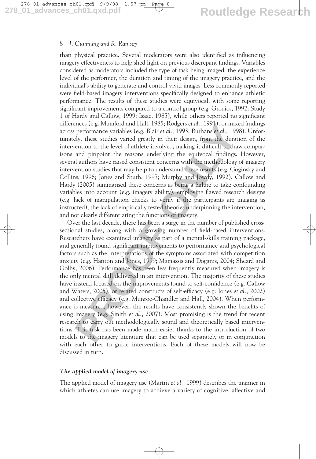than physical practice. Several moderators were also identified as influencing imagery effectiveness to help shed light on previous discrepant findings. Variables considered as moderators included the type of task being imaged, the experience level of the performer, the duration and timing of the imagery practice, and the individual's ability to generate and control vivid images. Less commonly reported were field-based imagery interventions specifically designed to enhance athletic performance. The results of these studies were equivocal, with some reporting significant improvements compared to a control group (e.g. Grouios, 1992; Study 1 of Hardy and Callow, 1999; Isaac, 1985), while others reported no significant differences (e.g. Mumford and Hall, 1985; Rodgers *et al.*, 1991), or mixed findings across performance variables (e.g. Blair *et al.*, 1993; Burhans *et al.*, 1998). Unfortunately, these studies varied greatly in their design, from the duration of the intervention to the level of athlete involved, making it difficult to draw comparisons and pinpoint the reasons underlying the equivocal findings. However, several authors have raised consistent concerns with the methodology of imagery intervention studies that may help to understand these results (e.g. Goginsky and Collins, 1996; Jones and Stuth, 1997; Murphy and Jowdy, 1992). Callow and Hardy (2005) summarised these concerns as being a failure to take confounding variables into account (e.g. imagery ability), employing flawed research designs (e.g. lack of manipulation checks to verify if the participants are imaging as instructed), the lack of empirically tested theories underpinning the intervention, and not clearly differentiating the functions of imagery.

reness (e.g. Numford and Hail, 1995); Koagers et at., 1991), or maxed in performance variables (e.g. Blair et al., 1993; Burhans et al., 1998). Hely, these studies varied greatly in their design, from the duration cention Over the last decade, there has been a surge in the number of published crosssectional studies, along with a growing number of field-based interventions. Researchers have examined imagery as part of a mental-skills training package, and generally found significant improvements to performance and psychological factors such as the interpretations of the symptoms associated with competition anxiety (e.g. Hanton and Jones, 1999; Mamassis and Doganis, 2004; Sheard and Golby, 2006). Performance has been less frequently measured when imagery is the only mental skill delivered in an intervention. The majority of these studies have instead focused on the improvements found to self-confidence (e.g. Callow and Waters, 2005), or related constructs of self-efficacy (e.g. Jones *et al.*, 2002) and collective efficacy (e.g. Munroe-Chandler and Hall, 2004). When performance is measured, however, the results have consistently shown the benefits of using imagery (e.g. Smith *et al.*, 2007). Most promising is the trend for recent research to carry out methodologically sound and theoretically based interventions. This task has been made much easier thanks to the introduction of two models to the imagery literature that can be used separately or in conjunction with each other to guide interventions. Each of these models will now be discussed in turn.

# *The applied model of imagery use*

The applied model of imagery use (Martin *et al.*, 1999) describes the manner in which athletes can use imagery to achieve a variety of cognitive, affective and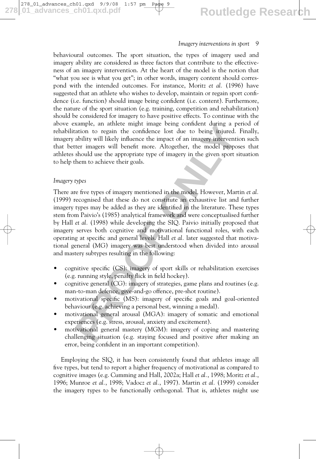behavioural outcomes. The sport situation, the types of imagery used and imagery ability are considered as three factors that contribute to the effectiveness of an imagery intervention. At the heart of the model is the notion that "what you see is what you get"; in other words, imagery content should correspond with the intended outcomes. For instance, Moritz *et al.* (1996) have suggested that an athlete who wishes to develop, maintain or regain sport confidence (i.e. function) should image being confident (i.e. content). Furthermore, the nature of the sport situation (e.g. training, competition and rehabilitation) should be considered for imagery to have positive effects. To continue with the above example, an athlete might image being confident during a period of rehabilitation to regain the confidence lost due to being injured. Finally, imagery ability will likely influence the impact of an imagery intervention such that better imagers will benefit more. Altogether, the model proposes that athletes should use the appropriate type of imagery in the given sport situation to help them to achieve their goals.

#### *Imagery types*

xample, an athere may mange being connated during a period<br>tation to regain the confidence lost due to being injured. Finality will likely influence the impact of an imagery intervention terter imagers will benefit more. A There are five types of imagery mentioned in the model. However, Martin *et al.* (1999) recognised that these do not constitute an exhaustive list and further imagery types may be added as they are identified in the literature. These types stem from Paivio's (1985) analytical framework and were conceptualised further by Hall *et al.* (1998) while developing the SIQ. Paivio initially proposed that imagery serves both cognitive and motivational functional roles, with each operating at specific and general levels. Hall *et al.* later suggested that motivational general (MG) imagery was best understood when divided into arousal and mastery subtypes resulting in the following:

- cognitive specific (CS): imagery of sport skills or rehabilitation exercises (e.g. running style, penalty flick in field hockey).
- cognitive general (CG): imagery of strategies, game plans and routines (e.g. man-to-man defence, give-and-go offence, pre-shot routine).
- motivational specific (MS): imagery of specific goals and goal-oriented behaviour (e.g. achieving a personal best, winning a medal).
- motivational general arousal (MGA): imagery of somatic and emotional experiences (e.g. stress, arousal, anxiety and excitement).
- motivational general mastery (MGM): imagery of coping and mastering challenging situation (e.g. staying focused and positive after making an error, being confident in an important competition).

Employing the SIQ, it has been consistently found that athletes image all five types, but tend to report a higher frequency of motivational as compared to cognitive images (e.g. Cumming and Hall, 2002a; Hall *et al.*, 1998; Moritz *et al.*, 1996; Munroe *et al.*, 1998; Vadocz *et al.*, 1997). Martin *et al.* (1999) consider the imagery types to be functionally orthogonal. That is, athletes might use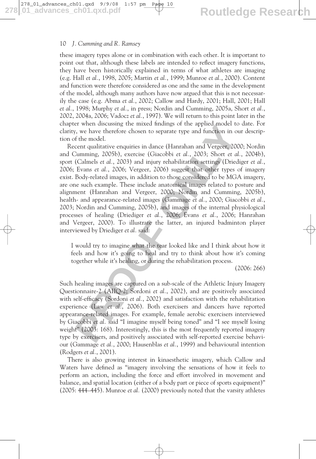these imagery types alone or in combination with each other. It is important to point out that, although these labels are intended to reflect imagery functions, they have been historically explained in terms of what athletes are imaging (e.g. Hall *et al.*, 1998, 2005; Martin *et al.*, 1999; Munroe *et al.*, 2000). Content and function were therefore considered as one and the same in the development of the model, although many authors have now argued that this is not necessarily the case (e.g. Abma *et al.*, 2002; Callow and Hardy, 2001; Hall, 2001; Hall *et al.*, 1998; Murphy *et al.*, in press; Nordin and Cumming, 2005a, Short *et al.*, 2002, 2004a, 2006; Vadocz *et al.*, 1997). We will return to this point later in the chapter when discussing the mixed findings of the applied model to date. For clarity, we have therefore chosen to separate type and function in our description of the model.

re when discussing the mixed nudings of the applied model to dat<br> *PROOF*, we have therefore chosen to separate type and function in our d<br>
of the model.<br>
Calmels. *eta.*, 2005), exercise (Giacobbi *et al.*, 2003; Short *e* Recent qualitative enquiries in dance (Hanrahan and Vergeer, 2000; Nordin and Cumming, 2005b), exercise (Giacobbi *et al.*, 2003; Short *et al.*, 2004b), sport (Calmels *et al.*, 2003) and injury rehabilitation settings (Driediger *et al.*, 2006; Evans *et al.*, 2006; Vergeer, 2006) suggest that other types of imagery exist. Body-related images, in addition to those considered to be MGA imagery, are one such example. These include anatomical images related to posture and alignment (Hanrahan and Vergeer, 2000; Nordin and Cumming, 2005b), health- and appearance-related images (Gammage *et al.*, 2000; Giacobbi *et al.*, 2003; Nordin and Cumming, 2005b), and images of the internal physiological processes of healing (Driediger *et al.*, 2006; Evans *et al.*, 2006; Hanrahan and Vergeer, 2000). To illustrate the latter, an injured badminton player interviewed by Driediger *et al.* said:

I would try to imagine what the tear looked like and I think about how it feels and how it's going to heal and try to think about how it's coming together while it's healing, or during the rehabilitation process.

(2006: 266)

Such healing images are captured on a sub-scale of the Athletic Injury Imagery Questionnaire-2 (AIIQ-2; Sordoni *et al.*, 2002), and are positively associated with self-efficacy (Sordoni *et al.*, 2002) and satisfaction with the rehabilitation experience (Law *et al.*, 2006). Both exercisers and dancers have reported appearance-related images. For example, female aerobic exercisers interviewed by Giacobbi *et al.* said "I imagine myself being toned" and "I see myself losing weight" (2003: 168). Interestingly, this is the most frequently reported imagery type by exercisers, and positively associated with self-reported exercise behaviour (Gammage *et al.*, 2000; Hausenblas *et al.*, 1999) and behavioural intention (Rodgers *et al.*, 2001).

There is also growing interest in kinaesthetic imagery, which Callow and Waters have defined as "imagery involving the sensations of how it feels to perform an action, including the force and effort involved in movement and balance, and spatial location (either of a body part or piece of sports equipment)" (2005: 444–445). Munroe *et al.* (2000) previously noted that the varsity athletes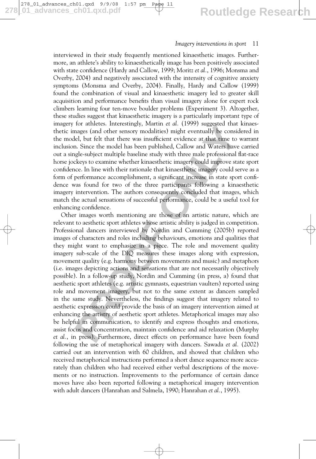interviewed in their study frequently mentioned kinaesthetic images. Furthermore, an athlete's ability to kinaesthetically image has been positively associated with state confidence (Hardy and Callow, 1999; Moritz *et al.*, 1996; Monsma and Overby, 2004) and negatively associated with the intensity of cognitive anxiety symptoms (Monsma and Overby, 2004). Finally, Hardy and Callow (1999) found the combination of visual and kinaesthetic imagery led to greater skill acquisition and performance benefits than visual imagery alone for expert rock climbers learning four ten-move boulder problems (Experiment 3). Altogether, these studies suggest that kinaesthetic imagery is a particularly important type of imagery for athletes. Interestingly, Martin *et al.* (1999) suggested that kinaesthetic images (and other sensory modalities) might eventually be considered in the model, but felt that there was insufficient evidence at that time to warrant inclusion. Since the model has been published, Callow and Waters have carried out a single-subject multiple baseline study with three male professional flat-race horse jockeys to examine whether kinaesthetic imagery could improve state sport confidence. In line with their rationale that kinaesthetic imagery could serve as a form of performance accomplishment, a significant increase in state sport confidence was found for two of the three participants following a kinaesthetic imagery intervention. The authors consequently concluded that images, which match the actual sensations of successful performance, could be a useful tool for enhancing confidence.

for a<br>thicre a. Interestingly, Martin et at. (1999) suggested that kim<br>nages (and other sensory modalities) might eventually be considered<br>lel, but felt that there was insufficient evidence at that time to war<br>on. Since th Other images worth mentioning are those of an artistic nature, which are relevant to aesthetic sport athletes whose artistic ability is judged in competition. Professional dancers interviewed by Nordin and Cumming (2005b) reported images of characters and roles including behaviours, emotions and qualities that they might want to emphasize in a piece. The role and movement quality imagery sub-scale of the DIQ measures these images along with expression, movement quality (e.g. harmony between movements and music) and metaphors (i.e. images depicting actions and sensations that are not necessarily objectively possible). In a follow-up study, Nordin and Cumming (in press, a) found that aesthetic sport athletes (e.g. artistic gymnasts, equestrian vaulters) reported using role and movement imagery, but not to the same extent as dancers sampled in the same study. Nevertheless, the findings suggest that imagery related to aesthetic expression could provide the basis of an imagery intervention aimed at enhancing the artistry of aesthetic sport athletes. Metaphorical images may also be helpful in communication, to identify and express thoughts and emotions, assist focus and concentration, maintain confidence and aid relaxation (Murphy *et al.*, in press). Furthermore, direct effects on performance have been found following the use of metaphorical imagery with dancers. Sawada *et al.* (2002) carried out an intervention with 60 children, and showed that children who received metaphorical instructions performed a short dance sequence more accurately than children who had received either verbal descriptions of the movements or no instruction. Improvements to the performance of certain dance moves have also been reported following a metaphorical imagery intervention with adult dancers (Hanrahan and Salmela, 1990; Hanrahan *et al.*, 1995).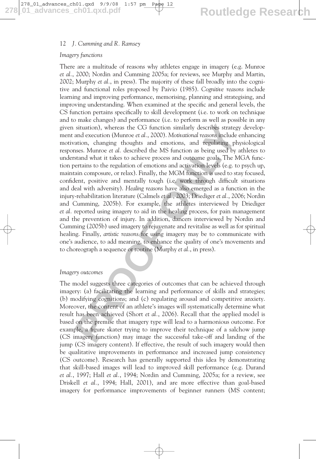# *Imagery functions*

situation), whereas the CG function similarly describes strategy de<br>and execution (Munroe *et al.*, 2000). Motivational reasons include enh<br>ation, changing thoughts and emotions, and "ergulating physic<br>stand what it takes There are a multitude of reasons why athletes engage in imagery (e.g. Munroe *et al.*, 2000; Nordin and Cumming 2005a; for reviews, see Murphy and Martin, 2002; Murphy *et al.*, in press). The majority of these fall broadly into the cognitive and functional roles proposed by Paivio (1985). *Cognitive reasons* include learning and improving performance, memorising, planning and strategising, and improving understanding. When examined at the specific and general levels, the CS function pertains specifically to skill development (i.e. to work on technique and to make changes) and performance (i.e. to perform as well as possible in any given situation), whereas the CG function similarly describes strategy development and execution (Munroe *et al.*, 2000). *Motivational reasons* include enhancing motivation, changing thoughts and emotions, and regulating physiological responses. Munroe *et al.* described the MS function as being used by athletes to understand what it takes to achieve process and outcome goals. The MGA function pertains to the regulation of emotions and activation levels (e.g. to psych up, maintain composure, or relax). Finally, the MGM function is used to stay focused, confident, positive and mentally tough (i.e. work through difficult situations and deal with adversity). *Healing reasons* have also emerged as a function in the injury-rehabilitation literature (Calmels *et al.*, 2003; Driediger *et al.*, 2006; Nordin and Cumming, 2005b). For example, the athletes interviewed by Driediger *et al.* reported using imagery to aid in the healing process, for pain management and the prevention of injury. In addition, dancers interviewed by Nordin and Cumming (2005b) used imagery to rejuvenate and revitalise as well as for spiritual healing. Finally, *artistic reasons* for using imagery may be to communicate with one's audience, to add meaning, to enhance the quality of one's movements and to choreograph a sequence or routine (Murphy *et al.*, in press).

# *Imagery outcomes*

The model suggests three categories of outcomes that can be achieved through imagery: (a) facilitating the learning and performance of skills and strategies; (b) modifying cognitions; and (c) regulating arousal and competitive anxiety. Moreover, the content of an athlete's images will systematically determine what result has been achieved (Short *et al.*, 2006). Recall that the applied model is based on the premise that imagery type will lead to a harmonious outcome. For example, a figure skater trying to improve their technique of a salchow jump (CS imagery function) may image the successful take-off and landing of the jump (CS imagery content). If effective, the result of such imagery would then be qualitative improvements in performance and increased jump consistency (CS outcome). Research has generally supported this idea by demonstrating that skill-based images will lead to improved skill performance (e.g. Durand *et al.*, 1997; Hall *et al.*, 1994; Nordin and Cumming, 2005a; for a review, see Driskell *et al.*, 1994; Hall, 2001), and are more effective than goal-based imagery for performance improvements of beginner runners (MS content;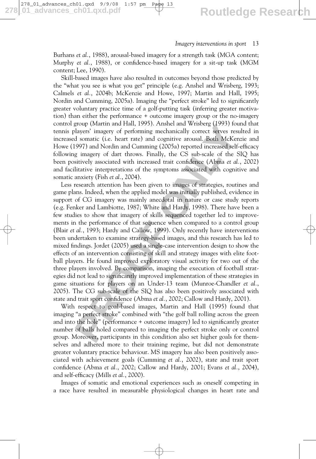Burhans *et al.*, 1988), arousal-based imagery for a strength task (MGA content; Murphy *et al.*, 1988), or confidence-based imagery for a sit-up task (MGM content; Lee, 1990).

Skill-based images have also resulted in outcomes beyond those predicted by the "what you see is what you get" principle (e.g. Anshel and Wrisberg, 1993; Calmels *et al.*, 2004b; McKenzie and Howe, 1997; Martin and Hall, 1995; Nordin and Cumming, 2005a). Imaging the "perfect stroke" led to significantly greater voluntary practice time of a golf-putting task (inferring greater motivation) than either the performance + outcome imagery group or the no-imagery control group (Martin and Hall, 1995). Anshel and Wrisberg (1993) found that tennis players' imagery of performing mechanically correct serves resulted in increased somatic (i.e. heart rate) and cognitive arousal. Both McKenzie and Howe (1997) and Nordin and Cumming (2005a) reported increased self-efficacy following imagery of dart throws. Finally, the CS sub-scale of the SIQ has been positively associated with increased trait confidence (Abma *et al.*, 2002) and facilitative interpretations of the symptoms associated with cognitive and somatic anxiety (Fish *et al.*, 2004).

group (Martin an Hall, 1999). Anshel and wisberg (1999) tound<br>lalayers' imagery of performing mechanically correct serves resulted<br>d somatic (i.e. heart rate) and cognitive arousal. Both McKenzie<br>1997) and Nordin and Cummi Less research attention has been given to images of strategies, routines and game plans. Indeed, when the applied model was initially published, evidence in support of CG imagery was mainly anecdotal in nature or case study reports (e.g. Fenker and Lambiotte, 1987; White and Hardy, 1998). There have been a few studies to show that imagery of skills sequenced together led to improvements in the performance of that sequence when compared to a control group (Blair *et al.*, 1993; Hardy and Callow, 1999). Only recently have interventions been undertaken to examine strategy-based images, and this research has led to mixed findings. Jordet (2005) used a single-case intervention design to show the effects of an intervention consisting of skill and strategy images with elite football players. He found improved exploratory visual activity for two out of the three players involved. By comparison, imaging the execution of football strategies did not lead to significantly improved implementation of these strategies in game situations for players on an Under-13 team (Munroe-Chandler *et al.*, 2005). The CG sub-scale of the SIQ has also been positively associated with state and trait sport confidence (Abma *et al.*, 2002; Callow and Hardy, 2001).

With respect to goal-based images, Martin and Hall (1995) found that imaging "a perfect stroke" combined with "the golf ball rolling across the green and into the hole" (performance + outcome imagery) led to significantly greater number of balls holed compared to imaging the perfect stroke only or control group. Moreover, participants in this condition also set higher goals for themselves and adhered more to their training regime, but did not demonstrate greater voluntary practice behaviour. MS imagery has also been positively associated with achievement goals (Cumming *et al.*, 2002), state and trait sport confidence (Abma *et al.*, 2002; Callow and Hardy, 2001; Evans *et al.*, 2004), and self-efficacy (Mills *et al.*, 2000).

Images of somatic and emotional experiences such as oneself competing in a race have resulted in measurable physiological changes in heart rate and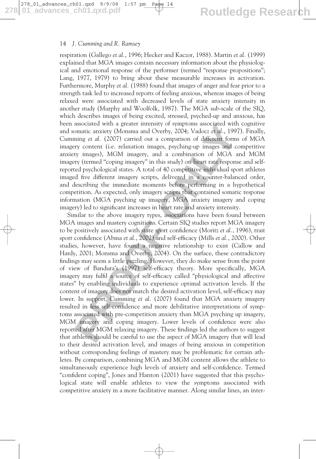respiration (Gallego *et al.*, 1996; Hecker and Kaczor, 1988). Martin *et al.* (1999) explained that MGA images contain necessary information about the physiological and emotional response of the performer (termed "response propositions"; Lang, 1977, 1979) to bring about these measurable increases in activation. Furthermore, Murphy *et al.* (1988) found that images of anger and fear prior to a strength task led to increased reports of feeling anxious, whereas images of being relaxed were associated with decreased levels of state anxiety intensity in another study (Murphy and Woolfolk, 1987). The MGA sub-scale of the SIQ, which describes images of being excited, stressed, psyched-up and anxious, has been associated with a greater intensity of symptoms associated with cognitive and somatic anxiety (Monsma and Overby, 2004; Vadocz *et al.*, 1997). Finally, Cumming *et al.* (2007) carried out a comparison of different forms of MGA imagery content (i.e. relaxation images, psyching-up images and competitive anxiety images), MGM imagery, and a combination of MGA and MGM imagery (termed "coping imagery" in this study) on heart rate response and selfreported psychological states. A total of 40 competitive individual sport athletes imaged five different imagery scripts, delivered in a counter-balanced order, and describing the immediate moments before performing in a hypothetical competition. As expected, only imagery scripts that contained somatic response information (MGA psyching up imagery, MGA anxiety imagery and coping imagery) led to significant increases in heart rate and anxiety intensity.

associated with a greater intensity of symptoms associated with cospider<br>anotatic anxiety (Monsma and Overby, 2004; Vadocz *et al.*, 1997). Fining *et al.* (2007) carried out a comparison of different forms of<br>ty content ( Similar to the above imagery types, associations have been found between MGA images and mastery cognitions. Certain SIQ studies report MGA imagery to be positively associated with state sport confidence (Moritz *et al.*, 1996), trait sport confidence (Abma *et al.*, 2002) and self-efficacy (Mills *et al.*, 2000). Other studies, however, have found a negative relationship to exist (Callow and Hardy, 2001; Monsma and Overby, 2004). On the surface, these contradictory findings may seem a little puzzling. However, they do make sense from the point of view of Bandura's (1997) self-efficacy theory. More specifically, MGA imagery may fulfil a source of self-efficacy called "physiological and affective states" by enabling individuals to experience optimal activation levels. If the content of imagery does not match the desired activation level, self-efficacy may lower. In support, Cumming *et al.* (2007) found that MGA anxiety imagery resulted in less self-confidence and more debilitative interpretations of symptoms associated with pre-competition anxiety than MGA psyching up imagery, MGM imagery and coping imagery. Lower levels of confidence were also reported after MGM relaxing imagery. These findings led the authors to suggest that athletes should be careful to use the aspect of MGA imagery that will lead to their desired activation level, and images of being anxious in competition without corresponding feelings of mastery may be problematic for certain athletes. By comparison, combining MGA and MGM content allows the athlete to simultaneously experience high levels of anxiety and self-confidence. Termed "confident coping", Jones and Hanton (2001) have suggested that this psychological state will enable athletes to view the symptoms associated with competitive anxiety in a more facilitative manner. Along similar lines, an inter-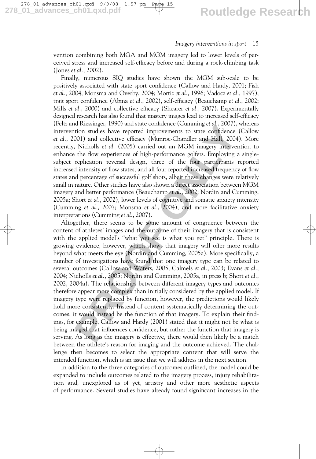vention combining both MGA and MGM imagery led to lower levels of perceived stress and increased self-efficacy before and during a rock-climbing task (Jones *et al.*, 2002).

Finally, numerous SIQ studies have shown the MGM sub-scale to be positively associated with state sport confidence (Callow and Hardy, 2001; Fish *et al.*, 2004; Monsma and Overby, 2004; Mortiz *et al.*, 1996; Vadocz *et al.*, 1997), trait sport confidence (Abma *et al.*, 2002), self-efficacy (Beauchamp *et al.*, 2002; Mills *et al.*, 2000) and collective efficacy (Shearer *et al.*, 2007). Experimentally designed research has also found that mastery images lead to increased self-efficacy (Feltz and Riessinger, 1990) and state confidence (Cumming *et al.*, 2007), whereas intervention studies have reported improvements to state confidence (Callow *et al.*, 2001) and collective efficacy (Munroe-Chandler and Hall, 2004). More recently, Nicholls *et al.* (2005) carried out an MGM imagery intervention to enhance the flow experiences of high-performance golfers. Employing a singlesubject replication reversal design, three of the four participants reported increased intensity of flow states, and all four reported increased frequency of flow states and percentage of successful golf shots, albeit these changes were relatively small in nature. Other studies have also shown a direct association between MGM imagery and better performance (Beauchamp *et al.*, 2002; Nordin and Cumming, 2005a; Short *et al.*, 2002), lower levels of cognitive and somatic anxiety intensity (Cumming *et al.*, 2007; Monsma *et al.*, 2004), and more facilitative anxiety interpretations (Cumming *et al.*, 2007).

In Reassingr, 1990) and state confidence (Cumming et at, 2007), where the confidence (Cammin etion studies have reported improvements to state confidence (Cam) and collective efficacy (Munroe-Chandler and Hall, 2004). Neve Altogether, there seems to be some amount of congruence between the content of athletes' images and the outcome of their imagery that is consistent with the applied model's "what you see is what you get" principle. There is growing evidence, however, which shows that imagery will offer more results beyond what meets the eye (Nordin and Cumming, 2005a). More specifically, a number of investigations have found that one imagery type can be related to several outcomes (Callow and Waters, 2005; Calmels *et al.*, 2003; Evans *et al.*, 2004; Nicholls *et al.*, 2005; Nordin and Cumming, 2005a, in press b; Short *et al.*, 2002, 2004a). The relationships between different imagery types and outcomes therefore appear more complex than initially considered by the applied model. If imagery type were replaced by function, however, the predictions would likely hold more consistently. Instead of content systematically determining the outcomes, it would instead be the function of that imagery. To explain their findings, for example, Callow and Hardy (2001) stated that it might not be what is being imaged that influences confidence, but rather the function that imagery is serving. As long as the imagery is effective, there would then likely be a match between the athlete's reason for imaging and the outcome achieved. The challenge then becomes to select the appropriate content that will serve the intended function, which is an issue that we will address in the next section.

In addition to the three categories of outcomes outlined, the model could be expanded to include outcomes related to the imagery process, injury rehabilitation and, unexplored as of yet, artistry and other more aesthetic aspects of performance. Several studies have already found significant increases in the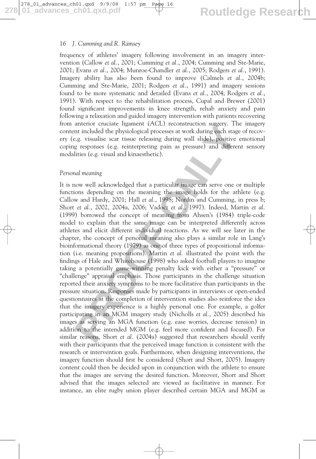frequency of athletes' imagery following involvement in an imagery intervention (Callow *et al.*, 2001; Cumming *et al.*, 2004; Cumming and Ste-Marie, 2001; Evans *et al.*, 2004; Munroe-Chandler *et al.*, 2005; Rodgers *et al.*, 1991). Imagery ability has also been found to improve (Calmels *et al.*, 2004b; Cumming and Ste-Marie, 2001; Rodgers *et al.*, 1991) and imagery sessions found to be more systematic and detailed (Evans *et al.*, 2004; Rodgers *et al.*, 1991). With respect to the rehabilitation process, Cupal and Brewer (2001) found significant improvements in knee strength, rehab anxiety and pain following a relaxation and guided imagery intervention with patients recovering from anterior cruciate ligament (ACL) reconstruction surgery. The imagery content included the physiological processes at work during each stage of recovery (e.g. visualise scar tissue releasing during wall slide), positive emotional coping responses (e.g. reinterpreting pain as pressure) and different sensory modalities (e.g. visual and kinaesthetic).

#### *Personal meaning*

anterior cruciate ligament (ACL) reconstruction surgery. In eimetror cruciate interaction surgers, the interaction surger e.g. visualise scar tissue releasing during wall slide), positive emay e.g. visualise scar tissue re It is now well acknowledged that a particular image can serve one or multiple functions depending on the meaning the image holds for the athlete (e.g. Callow and Hardy, 2001; Hall *et al.*, 1998; Nordin and Cumming, in press b; Short *et al.*, 2002, 2004a, 2006; Vadocz *et al.*, 1997). Indeed, Martin *et al.* (1999) borrowed the concept of meaning from Ahsen's (1984) triple-code model to explain that the same image can be interpreted differently across athletes and elicit different individual reactions. As we will see later in the chapter, the concept of personal meaning also plays a similar role in Lang's bioinformational theory (1979) as one of three types of propositional information (i.e. meaning propositions). Martin *et al.* illustrated the point with the findings of Hale and Whitehouse (1998) who asked football players to imagine taking a potentially game-winning penalty kick with either a "pressure" or "challenge" appraisal emphasis. Those participants in the challenge situation reported their anxiety symptoms to be more facilitative than participants in the pressure situation. Responses made by participants in interviews or open-ended questionnaires at the completion of intervention studies also reinforce the idea that the imagery experience is a highly personal one. For example, a golfer participating in an MGM imagery study (Nicholls *et al.*, 2005) described his images as serving an MGA function (e.g. ease worries, decrease tension) in addition to the intended MGM (e.g. feel more confident and focused). For similar reasons, Short *et al.* (2004a) suggested that researchers should verify with their participants that the perceived image function is consistent with the research or intervention goals. Furthermore, when designing interventions, the imagery function should first be considered (Short and Short, 2005). Imagery content could then be decided upon in conjunction with the athlete to ensure that the images are serving the desired function. Moreover, Short and Short advised that the images selected are viewed as facilitative in manner. For instance, an elite rugby union player described certain MGA and MGM as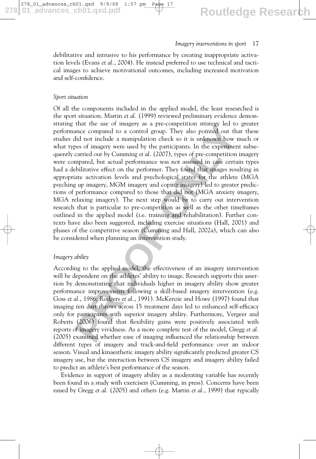debilitative and intrusive to his performance by creating inappropriate activation levels (Evans *et al.*, 2004). He instead preferred to use technical and tactical images to achieve motivational outcomes, including increased motivation and self-confidence.

## *Sport situation*

that the use of mangery as a pre-competition strategy led to green that the use of magery were used by the participants. In the experiment such did not include a manipulation check so it is unknown how mucles of imagery we Of all the components included in the applied model, the least researched is the sport situation. Martin *et al.* (1999) reviewed preliminary evidence demonstrating that the use of imagery as a pre-competition strategy led to greater performance compared to a control group. They also pointed out that these studies did not include a manipulation check so it is unknown how much or what types of imagery were used by the participants. In the experiment subsequently carried out by Cumming *et al.* (2007), types of pre-competition imagery were compared, but actual performance was not assessed in case certain types had a debilitative effect on the performer. They found that images resulting in appropriate activation levels and psychological states for the athlete (MGA psyching up imagery, MGM imagery and coping imagery) led to greater predictions of performance compared to those that did not (MGA anxiety imagery, MGA relaxing imagery). The next step would be to carry out intervention research that is particular to pre-competition as well as the other timeframes outlined in the applied model (i.e. training and rehabilitation). Further contexts have also been suggested, including exercise situations (Hall, 2001) and phases of the competitive season (Cumming and Hall, 2002a), which can also be considered when planning an intervention study.

### *Imagery ability*

According to the applied model, the effectiveness of an imagery intervention will be dependent on the athletes' ability to image. Research supports this assertion by demonstrating that individuals higher in imagery ability show greater performance improvements following a skill-based imagery intervention (e.g. Goss *et al.*, 1986; Rodgers *et al.*, 1991). McKenzie and Howe (1997) found that imaging ten dart throws across 15 treatment days led to enhanced self-efficacy only for participants with superior imagery ability. Furthermore, Vergeer and Roberts (2006) found that flexibility gains were positively associated with reports of imagery vividness. As a more complete test of the model, Gregg *et al.* (2005) examined whether ease of imaging influenced the relationship between different types of imagery and track-and-field performance over an indoor season. Visual and kinaesthetic imagery ability significantly predicted greater CS imagery use, but the interaction between CS imagery and imagery ability failed to predict an athlete's best performance of the season.

Evidence in support of imagery ability as a moderating variable has recently been found in a study with exercisers (Cumming, in press). Concerns have been raised by Gregg *et al.* (2005) and others (e.g. Martin *et al.*, 1999) that typically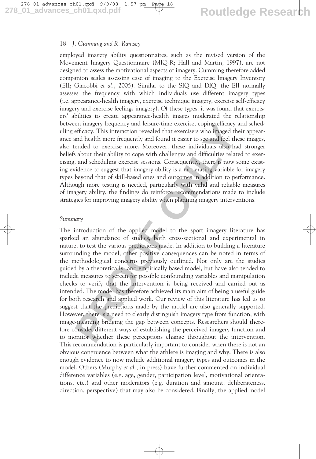employed imagery ability questionnaires, such as the revised version of the Movement Imagery Questionnaire (MIQ-R; Hall and Martin, 1997), are not designed to assess the motivational aspects of imagery. Cumming therefore added companion scales assessing ease of imaging to the Exercise Imagery Inventory (EII; Giacobbi *et al.*, 2005). Similar to the SIQ and DIQ, the EII normally assesses the frequency with which individuals use different imagery types (i.e. appearance-health imagery, exercise technique imagery, exercise self-efficacy imagery and exercise feelings imagery). Of these types, it was found that exercisers' abilities to create appearance-health images moderated the relationship between imagery frequency and leisure-time exercise, coping efficacy and scheduling efficacy. This interaction revealed that exercisers who imaged their appearance and health more frequently and found it easier to see and feel these images, also tended to exercise more. Moreover, these individuals also had stronger beliefs about their ability to cope with challenges and difficulties related to exercising, and scheduling exercise sessions. Consequently, there is now some existing evidence to suggest that imagery ability is a moderating variable for imagery types beyond that of skill-based ones and outcomes in addition to performance. Although more testing is needed, particularly with valid and reliable measures of imagery ability, the findings do reinforce recommendations made to include strategies for improving imagery ability when planning imagery interventions.

#### *Summary*

From magery tracqueory and lessue-time exertse, compare emasse, compared and health more frequently and found it easier to see and feel these iended to exercise more. Moreover, these individuals also had st should health m The introduction of the applied model to the sport imagery literature has sparked an abundance of studies, both cross-sectional and experimental in nature, to test the various predictions made. In addition to building a literature surrounding the model, other positive consequences can be noted in terms of the methodological concerns previously outlined. Not only are the studies guided by a theoretically and empirically based model, but have also tended to include measures to screen for possible confounding variables and manipulation checks to verify that the intervention is being received and carried out as intended. The model has therefore achieved its main aim of being a useful guide for both research and applied work. Our review of this literature has led us to suggest that the predictions made by the model are also generally supported. However, there is a need to clearly distinguish imagery type from function, with image-meaning bridging the gap between concepts. Researchers should therefore consider different ways of establishing the perceived imagery function and to monitor whether these perceptions change throughout the intervention. This recommendation is particularly important to consider when there is not an obvious congruence between what the athlete is imaging and why. There is also enough evidence to now include additional imagery types and outcomes in the model. Others (Murphy *et al.*, in press) have further commented on individual difference variables (e.g. age, gender, participation level, motivational orientations, etc.) and other moderators (e.g. duration and amount, deliberateness, direction, perspective) that may also be considered. Finally, the applied model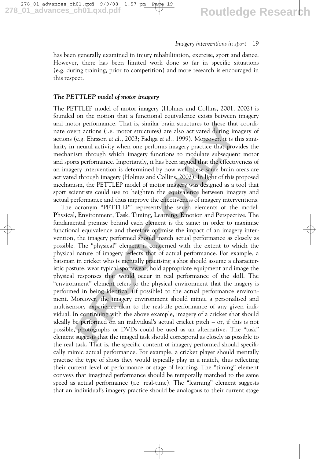has been generally examined in injury rehabilitation, exercise, sport and dance. However, there has been limited work done so far in specific situations (e.g. during training, prior to competition) and more research is encouraged in this respect.

# *The PETTLEP model of motor imagery*

The PETTLEP model of motor imagery (Holmes and Collins, 2001, 2002) is founded on the notion that a functional equivalence exists between imagery and motor performance. That is, similar brain structures to those that coordinate overt actions (i.e. motor structures) are also activated during imagery of actions (e.g. Ehrsson *et al.*, 2003; Fadiga *et al.*, 1999). Moreover, it is this similarity in neural activity when one performs imagery practice that provides the mechanism through which imagery functions to modulate subsequent motor and sports performance. Importantly, it has been argued that the effectiveness of an imagery intervention is determined by how well these same brain areas are activated through imagery (Holmes and Collins, 2002). In light of this proposed mechanism, the PETTLEP model of motor imagery was designed as a tool that sport scientists could use to heighten the equivalence between imagery and actual performance and thus improve the effectiveness of imagery interventions.

for performance. That is, similar bran structures to those that coosept to the stellane rearctions (i.e. motor structures) are also activated during image<br>(e.g. Ehrsson *et al.*, 2003; Fadiga *et al.*, 1999). Moreover, it The acronym "PETTLEP" represents the seven elements of the model: **P**hysical, **E**nvironment, **T**ask, **T**iming, **L**earning, **E**motion and **P**erspective. The fundamental premise behind each element is the same: in order to maximise functional equivalence and therefore optimise the impact of an imagery intervention, the imagery performed should match actual performance as closely as possible. The "physical" element is concerned with the extent to which the physical nature of imagery reflects that of actual performance. For example, a batsman in cricket who is mentally practising a shot should assume a characteristic posture, wear typical sportswear, hold appropriate equipment and image the physical responses that would occur in real performance of the skill. The "environment" element refers to the physical environment that the magery is performed in being identical (if possible) to the actual performance environment. Moreover, the imagery environment should mimic a personalised and multisensory experience akin to the real-life performance of any given individual. In continuing with the above example, imagery of a cricket shot should ideally be performed on an individual's actual cricket pitch – or, if this is not possible, photographs or DVDs could be used as an alternative. The "task" element suggests that the imaged task should correspond as closely as possible to the real task. That is, the specific content of imagery performed should specifically mimic actual performance. For example, a cricket player should mentally practise the type of shots they would typically play in a match, thus reflecting their current level of performance or stage of learning. The "timing" element conveys that imagined performance should be temporally matched to the same speed as actual performance (i.e. real-time). The "learning" element suggests that an individual's imagery practice should be analogous to their current stage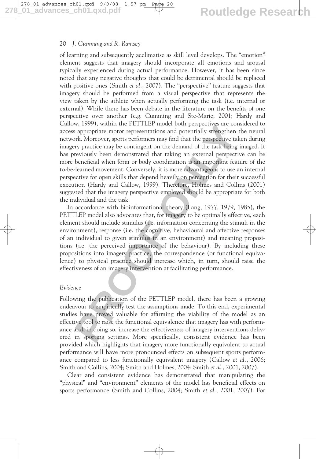W, 1999), within the PEITIEP model tooth perspectives are considerably steppy in the perspective taken the sampropriate motor representations and potentially strengthen the ork. Moreover, sports performers may find that th of learning and subsequently acclimatise as skill level develops. The "emotion" element suggests that imagery should incorporate all emotions and arousal typically experienced during actual performance. However, it has been since noted that any negative thoughts that could be detrimental should be replaced with positive ones (Smith *et al.*, 2007). The "perspective" feature suggests that imagery should be performed from a visual perspective that represents the view taken by the athlete when actually performing the task (i.e. internal or external). While there has been debate in the literature on the benefits of one perspective over another (e.g. Cumming and Ste-Marie, 2001; Hardy and Callow, 1999), within the PETTLEP model both perspectives are considered to access appropriate motor representations and potentially strengthen the neural network. Moreover, sports performers may find that the perspective taken during imagery practice may be contingent on the demand of the task being imaged. It has previously been demonstrated that taking an external perspective can be more beneficial when form or body coordination is an important feature of the to-be-learned movement. Conversely, it is more advantageous to use an internal perspective for open skills that depend heavily on perception for their successful execution (Hardy and Callow, 1999). Therefore, Holmes and Collins (2001) suggested that the imagery perspective employed should be appropriate for both the individual and the task.

In accordance with bioinformational theory (Lang, 1977, 1979, 1985), the PETTLEP model also advocates that, for imagery to be optimally effective, each element should include stimulus (i.e. information concerning the stimuli in the environment), response (i.e. the cognitive, behavioural and affective responses of an individual to given stimulus in an environment) and meaning propositions (i.e. the perceived importance of the behaviour). By including these propositions into imagery practice, the correspondence (or functional equivalence) to physical practice should increase which, in turn, should raise the effectiveness of an imagery intervention at facilitating performance.

# *Evidence*

Following the publication of the PETTLEP model, there has been a growing endeavour to empirically test the assumptions made. To this end, experimental studies have proved valuable for affirming the viability of the model as an effective tool to raise the functional equivalence that imagery has with performance and, in doing so, increase the effectiveness of imagery interventions delivered in sporting settings. More specifically, consistent evidence has been provided which highlights that imagery more functionally equivalent to actual performance will have more pronounced effects on subsequent sports performance compared to less functionally equivalent imagery (Callow *et al.*, 2006; Smith and Collins, 2004; Smith and Holmes, 2004; Smith *et al.*, 2001, 2007).

Clear and consistent evidence has demonstrated that manipulating the "physical" and "environment" elements of the model has beneficial effects on sports performance (Smith and Collins, 2004; Smith *et al.*, 2001, 2007). For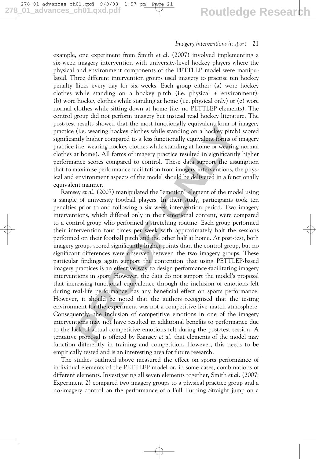example, one experiment from Smith *et al.* (2007) involved implementing a six-week imagery intervention with university-level hockey players where the physical and environment components of the PETTLEP model were manipulated. Three different intervention groups used imagery to practise ten hockey penalty flicks every day for six weeks. Each group either: (a) wore hockey clothes while standing on a hockey pitch (i.e. physical + environment), (b) wore hockey clothes while standing at home (i.e. physical only) or (c) wore normal clothes while sitting down at home (i.e. no PETTLEP elements). The control group did not perform imagery but instead read hockey literature. The post-test results showed that the most functionally equivalent form of imagery practice (i.e. wearing hockey clothes while standing on a hockey pitch) scored significantly higher compared to a less functionally equivalent forms of imagery practice (i.e. wearing hockey clothes while standing at home or wearing normal clothes at home). All forms of imagery practice resulted in significantly higher performance scores compared to control. These data support the assumption that to maximise performance facilitation from imagery interventions, the physical and environment aspects of the model should be delivered in a functionally equivalent manner.

**Fresults showed that the most functionally equivalent form of man<br>
<b>PROCENTE TENT ENET TO TENT CONDUP (i.e. wearing hockey clothes while standing on a hockey pitch) sc<br>
(i.e. wearing hockey clothes while standing at home** Ramsey *et al.* (2007) manipulated the "emotion" element of the model using a sample of university football players. In their study, participants took ten penalties prior to and following a six week intervention period. Two imagery interventions, which differed only in their emotional content, were compared to a control group who performed a stretching routine. Each group performed their intervention four times per week with approximately half the sessions performed on their football pitch and the other half at home. At post-test, both imagery groups scored significantly higher points than the control group, but no significant differences were observed between the two imagery groups. These particular findings again support the contention that using PETTLEP-based imagery practices is an effective way to design performance-facilitating imagery interventions in sport. However, the data do not support the model's proposal that increasing functional equivalence through the inclusion of emotions felt during real-life performance has any beneficial effect on sports performance. However, it should be noted that the authors recognised that the testing environment for the experiment was not a competitive live-match atmosphere. Consequently, the inclusion of competitive emotions in one of the imagery interventions may not have resulted in additional benefits to performance due to the lack of actual competitive emotions felt during the post-test session. A tentative proposal is offered by Ramsey *et al.* that elements of the model may function differently in training and competition. However, this needs to be empirically tested and is an interesting area for future research.

The studies outlined above measured the effect on sports performance of individual elements of the PETTLEP model or, in some cases, combinations of different elements. Investigating all seven elements together, Smith *et al.* (2007; Experiment 2) compared two imagery groups to a physical practice group and a no-imagery control on the performance of a Full Turning Straight jump on a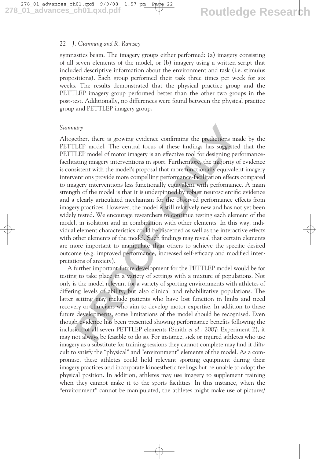gymnastics beam. The imagery groups either performed: (a) imagery consisting of all seven elements of the model, or (b) imagery using a written script that included descriptive information about the environment and task (i.e. stimulus propositions). Each group performed their task three times per week for six weeks. The results demonstrated that the physical practice group and the PETTLEP imagery group performed better than the other two groups in the post-test. Additionally, no differences were found between the physical practice group and PETTLEP imagery group.

# *Summary*

nary<br>
mary<br>
ether, there is growing evidence confirming the predictions made<br>
TLEP model. The central focus of these findings has suggested the<br>
TLEP model of motor imagery is an effective tool for designing perform<br>
ating Altogether, there is growing evidence confirming the predictions made by the PETTLEP model. The central focus of these findings has suggested that the PETTLEP model of motor imagery is an effective tool for designing performancefacilitating imagery interventions in sport. Furthermore, the majority of evidence is consistent with the model's proposal that more functionally equivalent imagery interventions provide more compelling performance-facilitation effects compared to imagery interventions less functionally equivalent with performance. A main strength of the model is that it is underpinned by robust neuroscientific evidence and a clearly articulated mechanism for the observed performance effects from imagery practices. However, the model is still relatively new and has not yet been widely tested. We encourage researchers to continue testing each element of the model, in isolation and in combination with other elements. In this way, individual element characteristics could be discerned as well as the interactive effects with other elements of the model. Such findings may reveal that certain elements are more important to manipulate than others to achieve the specific desired outcome (e.g. improved performance, increased self-efficacy and modified interpretations of anxiety).

A further important future development for the PETTLEP model would be for testing to take place in a variety of settings with a mixture of populations. Not only is the model relevant for a variety of sporting environments with athletes of differing levels of ability, but also clinical and rehabilitative populations. The latter setting may include patients who have lost function in limbs and need recovery or clinicians who aim to develop motor expertise. In addition to these future developments, some limitations of the model should be recognised. Even though evidence has been presented showing performance benefits following the inclusion of all seven PETTLEP elements (Smith *et al.*, 2007; Experiment 2), it may not always be feasible to do so. For instance, sick or injured athletes who use imagery as a substitute for training sessions they cannot complete may find it difficult to satisfy the "physical" and "environment" elements of the model. As a compromise, these athletes could hold relevant sporting equipment during their imagery practices and incorporate kinaesthetic feelings but be unable to adopt the physical position. In addition, athletes may use imagery to supplement training when they cannot make it to the sports facilities. In this instance, when the "environment" cannot be manipulated, the athletes might make use of pictures/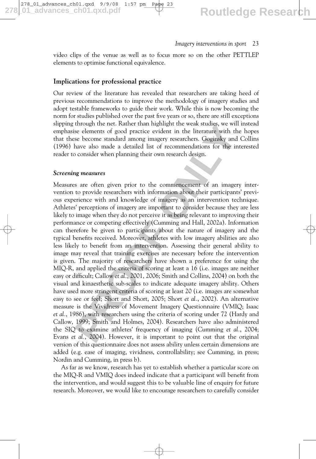video clips of the venue as well as to focus more so on the other PETTLEP elements to optimise functional equivalence.

# **Implications for professional practice**

Our review of the literature has revealed that researchers are taking heed of previous recommendations to improve the methodology of imagery studies and adopt testable frameworks to guide their work. While this is now becoming the norm for studies published over the past five years or so, there are still exceptions slipping through the net. Rather than highlight the weak studies, we will instead emphasise elements of good practice evident in the literature with the hopes that these become standard among imagery researchers. Goginsky and Collins (1996) have also made a detailed list of recommendations for the interested reader to consider when planning their own research design.

#### *Screening measures*

through the net. Kather than hay plught the weas studies, we will ms<br>elements of good practice evident in the literature with the he see seconne standard among imagery researchers. Goginsky and Co<br>have also made a detailed Measures are often given prior to the commencement of an imagery intervention to provide researchers with information about their participants' previous experience with and knowledge of imagery as an intervention technique. Athletes' perceptions of imagery are important to consider because they are less likely to image when they do not perceive it as being relevant to improving their performance or competing effectively (Cumming and Hall, 2002a). Information can therefore be given to participants about the nature of imagery and the typical benefits received. Moreover, athletes with low imagery abilities are also less likely to benefit from an intervention. Assessing their general ability to image may reveal that training exercises are necessary before the intervention is given. The majority of researchers have shown a preference for using the MIQ-R, and applied the criteria of scoring at least a 16 (i.e. images are neither easy or difficult; Callow *et al.*, 2001, 2006; Smith and Collins, 2004) on both the visual and kinaesthetic sub-scales to indicate adequate imagery ability. Others have used more stringent criteria of scoring at least 20 (i.e. images are somewhat easy to see or feel; Short and Short, 2005; Short *et al.*, 2002). An alternative measure is the Vividness of Movement Imagery Questionnaire (VMIQ; Isaac *et al.*, 1986), with researchers using the criteria of scoring under 72 (Hardy and Callow, 1999; Smith and Holmes, 2004). Researchers have also administered the SIQ to examine athletes' frequency of imaging (Cumming *et al.*, 2004; Evans *et al.*, 2004). However, it is important to point out that the original version of this questionnaire does not assess ability unless certain dimensions are added (e.g. ease of imaging, vividness, controllability; see Cumming, in press; Nordin and Cumming, in press b).

As far as we know, research has yet to establish whether a particular score on the MIQ-R and VMIQ does indeed indicate that a participant will benefit from the intervention, and would suggest this to be valuable line of enquiry for future research. Moreover, we would like to encourage researchers to carefully consider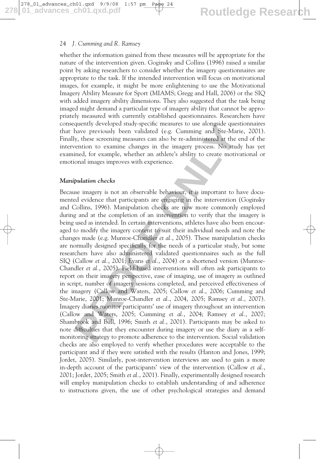whether the information gained from these measures will be appropriate for the nature of the intervention given. Goginsky and Collins (1996) raised a similar point by asking researchers to consider whether the imagery questionnaires are appropriate to the task. If the intended intervention will focus on motivational images, for example, it might be more enlightening to use the Motivational Imagery Ability Measure for Sport (MIAMS; Gregg and Hall, 2006) or the SIQ with added imagery ability dimensions. They also suggested that the task being imaged might demand a particular type of imagery ability that cannot be appropriately measured with currently established questionnaires. Researchers have consequently developed study-specific measures to use alongside questionnaires that have previously been validated (e.g. Cumming and Ste-Marie, 2001). Finally, these screening measures can also be re-administered at the end of the intervention to examine changes in the imagery process. No study has yet examined, for example, whether an athlete's ability to create motivational or emotional images improves with experience.

## *Manipulation checks*

quentity developed study-spectic measures to use alongsside question<br>have previously been validated (e.g. Cumming and Ste-Marie,<br>y, these screening measures can also be re-administered at the end<br>pentino to examine changes Because imagery is not an observable behaviour, it is important to have documented evidence that participants are engaging in the intervention (Goginsky and Collins, 1996). Manipulation checks are now more commonly employed during and at the completion of an intervention to verify that the imagery is being used as intended. In certain interventions, athletes have also been encouraged to modify the imagery content to suit their individual needs and note the changes made (e.g. Munroe-Chandler *et al.*, 2005). These manipulation checks are normally designed specifically for the needs of a particular study, but some researchers have also administered validated questionnaires such as the full SIQ (Callow *et al.*, 2001; Evans *et al.*, 2004) or a shortened version (Munroe-Chandler *et al.*, 2005). Field-based interventions will often ask participants to report on their imagery perspective, ease of imaging, use of imagery as outlined in script, number of imagery sessions completed, and perceived effectiveness of the imagery (Callow and Waters, 2005; Callow *et al.*, 2006; Cumming and Ste-Marie, 2001; Munroe-Chandler *et al.*, 2004, 2005; Ramsey *et al.*, 2007). Imagery diaries monitor participants' use of imagery throughout an intervention (Callow and Waters, 2005; Cumming *et al.*, 2004; Ramsey *et al.*, 2007; Shambrook and Bull, 1996; Smith *et al.*, 2001). Participants may be asked to note difficulties that they encounter during imagery or use the diary as a selfmonitoring strategy to promote adherence to the intervention. Social validation checks are also employed to verify whether procedures were acceptable to the participant and if they were satisfied with the results (Hanton and Jones, 1999; Jordet, 2005). Similarly, post-intervention interviews are used to gain a more in-depth account of the participants' view of the intervention (Callow *et al.*, 2001; Jordet, 2005; Smith *et al.*, 2001). Finally, experimentally designed research will employ manipulation checks to establish understanding of and adherence to instructions given, the use of other psychological strategies and demand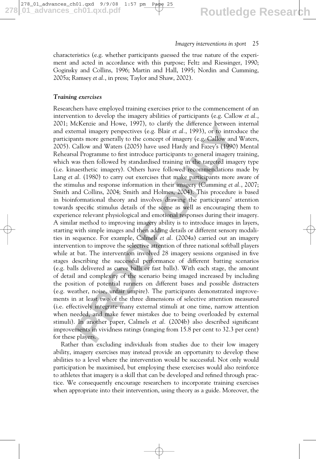characteristics (e.g. whether participants guessed the true nature of the experiment and acted in accordance with this purpose; Feltz and Riessinger, 1990; Goginsky and Collins, 1996; Martin and Hall, 1995; Nordin and Cumming, 2005a; Ramsey *et al.*, in press; Taylor and Shaw, 2002).

### *Training exercises*

Extende and Howe, 1997), to clarry the different peterene between interests and Howe, 1997), or to introduce permail imagery perspectives (e.g. Blair *et al.*, 1993), or to introduce particular and Programe to forst introd Researchers have employed training exercises prior to the commencement of an intervention to develop the imagery abilities of participants (e.g. Callow *et al.*, 2001; McKenzie and Howe, 1997), to clarify the difference between internal and external imagery perspectives (e.g. Blair *et al.*, 1993), or to introduce the participants more generally to the concept of imagery (e.g. Callow and Waters, 2005). Callow and Waters (2005) have used Hardy and Fazey's (1990) Mental Rehearsal Programme to first introduce participants to general imagery training, which was then followed by standardised training in the targeted imagery type (i.e. kinaesthetic imagery). Others have followed recommendations made by Lang *et al.* (1980) to carry out exercises that make participants more aware of the stimulus and response information in their imagery (Cumming *et al.*, 2007; Smith and Collins, 2004; Smith and Holmes, 2004). This procedure is based in bioinformational theory and involves drawing the participants' attention towards specific stimulus details of the scene as well as encouraging them to experience relevant physiological and emotional responses during their imagery. A similar method to improving imagery ability is to introduce images in layers, starting with simple images and then adding details or different sensory modalities in sequence. For example, Calmels *et al.* (2004a) carried out an imagery intervention to improve the selective attention of three national softball players while at bat. The intervention involved 28 imagery sessions organised in five stages describing the successful performance of different batting scenarios (e.g. balls delivered as curve balls or fast balls). With each stage, the amount of detail and complexity of the scenario being imaged increased by including the position of potential runners on different bases and possible distracters (e.g. weather, noise, unfair umpire). The participants demonstrated improvements in at least two of the three dimensions of selective attention measured (i.e. effectively integrate many external stimuli at one time, narrow attention when needed, and make fewer mistakes due to being overloaded by external stimuli). In another paper, Calmels *et al.* (2004b) also described significant improvements in vividness ratings (ranging from 15.8 per cent to 32.3 per cent) for these players.

Rather than excluding individuals from studies due to their low imagery ability, imagery exercises may instead provide an opportunity to develop these abilities to a level where the intervention would be successful. Not only would participation be maximised, but employing these exercises would also reinforce to athletes that imagery is a skill that can be developed and refined through practice. We consequently encourage researchers to incorporate training exercises when appropriate into their intervention, using theory as a guide. Moreover, the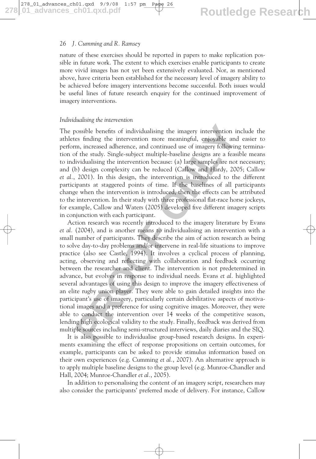nature of these exercises should be reported in papers to make replication possible in future work. The extent to which exercises enable participants to create more vivid images has not yet been extensively evaluated. Nor, as mentioned above, have criteria been established for the necessary level of imagery ability to be achieved before imagery interventions become successful. Both issues would be useful lines of future research enquiry for the continued improvement of imagery interventions.

### *Individualising the intervention*

The possible benefits of individualising the imagery intervention include the athletes finding the intervention more meaningful, enjoyable and easier to perform, increased adherence, and continued use of imagery following termination of the study. Single-subject multiple-baseline designs are a feasible means to individualising the intervention because: (a) large samples are not necessary; and (b) design complexity can be reduced (Callow and Hardy, 2005; Callow *et al.*, 2001). In this design, the intervention is introduced to the different participants at staggered points of time. If the baselines of all participants change when the intervention is introduced, then the effects can be attributed to the intervention. In their study with three professional flat-race horse jockeys, for example, Callow and Waters (2005) developed five different imagery scripts in conjunction with each participant.

possible benefits of individualising the imagery intervention inclues finding the intervention more meaningful, enjoyable and ear, m, increased adherence, and contribuel-baseline designs are a feasible for the study. Singl Action research was recently introduced to the imagery literature by Evans *et al.* (2004), and is another means to individualising an intervention with a small number of participants. They describe the aim of action research as being to solve day-to-day problems and/or intervene in real-life situations to improve practice (also see Castle, 1994). It involves a cyclical process of planning, acting, observing and reflecting with collaboration and feedback occurring between the researcher and client. The intervention is not predetermined in advance, but evolves in response to individual needs. Evans *et al.* highlighted several advantages of using this design to improve the imagery effectiveness of an elite rugby union player. They were able to gain detailed insights into the participant's use of imagery, particularly certain debilitative aspects of motivational images and a preference for using cognitive images. Moreover, they were able to conduct the intervention over 14 weeks of the competitive season, lending high ecological validity to the study. Finally, feedback was derived from multiple sources including semi-structured interviews, daily diaries and the SIQ.

It is also possible to individualise group-based research designs. In experiments examining the effect of response propositions on certain outcomes, for example, participants can be asked to provide stimulus information based on their own experiences (e.g. Cumming *et al.*, 2007). An alternative approach is to apply multiple baseline designs to the group level (e.g. Munroe-Chandler and Hall, 2004; Munroe-Chandler *et al.*, 2005).

In addition to personalising the content of an imagery script, researchers may also consider the participants' preferred mode of delivery. For instance, Callow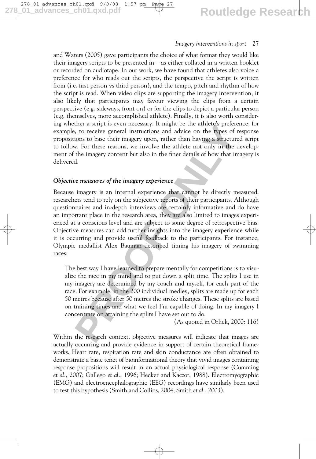and Waters (2005) gave participants the choice of what format they would like their imagery scripts to be presented in – as either collated in a written booklet or recorded on audiotape. In our work, we have found that athletes also voice a preference for who reads out the scripts, the perspective the script is written from (i.e. first person vs third person), and the tempo, pitch and rhythm of how the script is read. When video clips are supporting the imagery intervention, it also likely that participants may favour viewing the clips from a certain perspective (e.g. sideways, front on) or for the clips to depict a particular person (e.g. themselves, more accomplished athlete). Finally, it is also worth considering whether a script is even necessary. It might be the athlete's preference, for example, to receive general instructions and advice on the types of response propositions to base their imagery upon, rather than having a structured script to follow. For these reasons, we involve the athlete not only in the development of the imagery content but also in the finer details of how that imagery is delivered.

#### *Objective measures of the imagery experience*

the a script is even necessary. It might be the athlete's preference for<br>the rescar the constrained exact preference, the core of respections to base their imagery upon, rather than having a structured set. We we have been Because imagery is an internal experience that cannot be directly measured, researchers tend to rely on the subjective reports of their participants. Although questionnaires and in-depth interviews are certainly informative and do have an important place in the research area, they are also limited to images experienced at a conscious level and are subject to some degree of retrospective bias. Objective measures can add further insights into the imagery experience while it is occurring and provide useful feedback to the participants. For instance, Olympic medallist Alex Bauman described timing his imagery of swimming races:

The best way I have learned to prepare mentally for competitions is to visualize the race in my mind and to put down a split time. The splits I use in my imagery are determined by my coach and myself, for each part of the race. For example, in the 200 individual medley, splits are made up for each 50 metres because after 50 metres the stroke changes. These splits are based on training times and what we feel I'm capable of doing. In my imagery I concentrate on attaining the splits I have set out to do.

(As quoted in Orlick, 2000: 116)

Within the research context, objective measures will indicate that images are actually occurring and provide evidence in support of certain theoretical frameworks. Heart rate, respiration rate and skin conductance are often obtained to demonstrate a basic tenet of bioinformational theory that vivid images containing response propositions will result in an actual physiological response (Cumming *et al.*, 2007; Gallego *et al.*, 1996; Hecker and Kaczor, 1988). Electromyographic (EMG) and electroencephalographic (EEG) recordings have similarly been used to test this hypothesis (Smith and Collins, 2004; Smith *et al.*, 2003).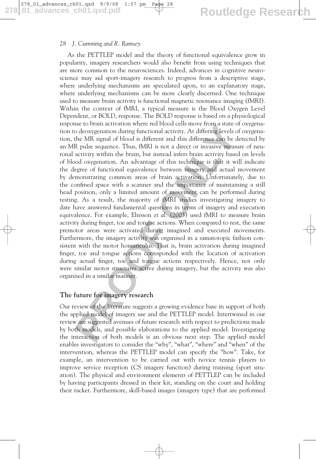nse to bran activation where real blood cells move from a state of xx<br>o deoxygenation during functional activity. At differing levels of ox<br>the MR signal of blood is different and this difference can be detec<br>R pulse seque As the PETTLEP model and the theory of functional equivalence grow in popularity, imagery researchers would also benefit from using techniques that are more common to the neurosciences. Indeed, advances in cognitive neuroscience may aid sport-imagery research to progress from a descriptive stage, where underlying mechanisms are speculated upon, to an explanatory stage, where underlying mechanisms can be more clearly discerned. One technique used to measure brain activity is functional magnetic resonance imaging (fMRI). Within the context of fMRI, a typical measure is the Blood Oxygen Level Dependent, or BOLD, response. The BOLD response is based on a physiological response to brain activation where red blood cells move from a state of oxygenation to deoxygenation during functional activity. At differing levels of oxygenation, the MR signal of blood is different and this difference can be detected by an MR pulse sequence. Thus, fMRI is not a direct or invasive measure of neuronal activity within the brain, but instead infers brain activity based on levels of blood oxygenation. An advantage of this technique is that it will indicate the degree of functional equivalence between imagery and actual movement by demonstrating common areas of brain activation. Unfortunately, due to the confined space with a scanner and the importance of maintaining a still head position, only a limited amount of movement can be performed during testing. As a result, the majority of fMRI studies investigating imagery to date have answered fundamental questions in terms of imagery and execution equivalence. For example, Ehrsson *et al.* (2003) used fMRI to measure brain activity during finger, toe and tongue actions. When compared to rest, the same premotor areas were activated during imagined and executed movements. Furthermore, the imagery activity was organised in a samatotopic fashion consistent with the motor homunculus. That is, brain activation during imagined finger, toe and tongue actions corresponded with the location of activation during actual finger, toe and tongue actions respectively. Hence, not only were similar motor structures active during imagery, but the activity was also organised in a similar manner.

# **The future for imagery research**

Our review of the literature suggests a growing evidence base in support of both the applied model of imagery use and the PETTLEP model. Intertwined in our review are suggested avenues of future research with respect to predictions made by both models, and possible elaborations to the applied model. Investigating the interaction of both models is an obvious next step. The applied model enables investigators to consider the "why", "what", "where" and "when" of the intervention, whereas the PETTLEP model can specify the "how". Take, for example, an intervention to be carried out with novice tennis players to improve service reception (CS imagery function) during training (sport situation). The physical and environment elements of PETTLEP can be included by having participants dressed in their kit, standing on the court and holding their racket. Furthermore, skill-based images (imagery type) that are performed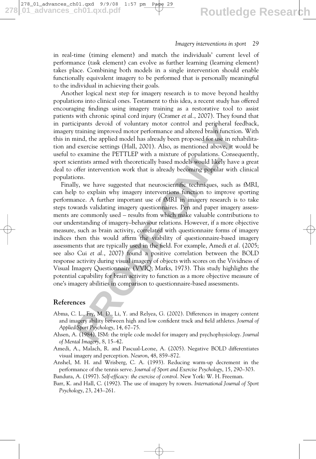# **Routledge Researd**

#### *Imagery interventions in sport* 29

in real-time (timing element) and match the individuals' current level of performance (task element) can evolve as further learning (learning element) takes place. Combining both models in a single intervention should enable functionally equivalent imagery to be performed that is personally meaningful to the individual in achieving their goals.

Another logical next step for imagery research is to move beyond healthy populations into clinical ones. Testament to this idea, a recent study has offered encouraging findings using imagery training as a restorative tool to assist patients with chronic spinal cord injury (Cramer *et al.*, 2007). They found that in participants devoid of voluntary motor control and peripheral feedback, imagery training improved motor performance and altered brain function. With this in mind, the applied model has already been proposed for use in rehabilitation and exercise settings (Hall, 2001). Also, as mentioned above, it would be useful to examine the PETTLEP with a mixture of populations. Consequently, sport scientists armed with theoretically based models would likely have a great deal to offer intervention work that is already becoming popular with clinical populations.

ergants devoted of voluntary motor control and perpheral reteables.<br>
training improved motor performance and altered brain function. We<br>starting the applied model has already been proposed for use in rehabil<br>
exercise sett Finally, we have suggested that neuroscientific techniques, such as fMRI, can help to explain why imagery interventions function to improve sporting performance. A further important use of fMRI in imagery research is to take steps towards validating imagery questionnaires. Pen and paper imagery assessments are commonly used – results from which make valuable contributions to our understanding of imagery–behaviour relations. However, if a more objective measure, such as brain activity, correlated with questionnaire forms of imagery indices then this would affirm the viability of questionnaire-based imagery assessments that are typically used in the field. For example, Amedi *et al.* (2005; see also Cui *et al.*, 2007) found a positive correlation between the BOLD response activity during visual imagery of objects with scores on the Vividness of Visual Imagery Questionnaire (VVIQ; Marks, 1973). This study highlights the potential capability for brain activity to function as a more objective measure of one's imagery abilities in comparison to questionnaire-based assessments.

# **References**

- Abma, C. L., Fry, M. D., Li, Y. and Relyea, G. (2002). Differences in imagery content and imagery ability between high and low confident track and field athletes. *Journal of Applied Sport Psychology*, 14, 67–75.
- Ahsen, A. (1984). ISM: the triple code model for imagery and psychophysiology. *Journal of Mental Imagery*, 8, 15–42.

Amedi, A., Malach, R. and Pascual-Leone, A. (2005). Negative BOLD differentiates visual imagery and perception. *Neuron*, 48, 859–872.

Anshel, M. H. and Wrisberg, C. A. (1993). Reducing warm-up decrement in the performance of the tennis serve. *Journal of Sport and Exercise Psychology*, 15, 290–303.

Bandura, A. (1997). *Self-efficacy: the exercise of control.* New York: W. H. Freeman.

Barr, K. and Hall, C. (1992). The use of imagery by rowers. *International Journal of Sport Psychology*, 23, 243–261.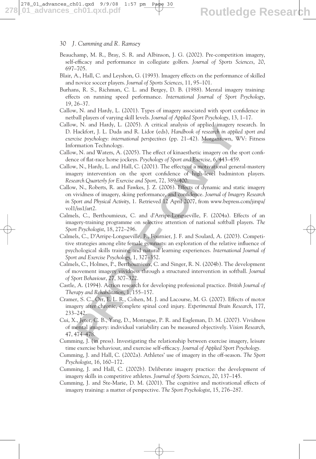- Beauchamp, M. R., Bray, S. R. and Albinson, J. G. (2002). Pre-competition imagery, self-efficacy and performance in collegiate golfers. *Journal of Sports Sciences*, 20, 697–705.
- Blair, A., Hall, C. and Leyshon, G. (1993). Imagery effects on the performance of skilled and novice soccer players. *Journal of Sports Sciences*, 11, 95–101.
- Burhans, R. S., Richman, C. L. and Bergey, D. B. (1988). Mental imagery training: effects on running speed performance. *International Journal of Sport Psychology*, 19, 26–37.
- Callow, N. and Hardy, L. (2001). Types of imagery associated with sport confidence in netball players of varying skill levels. *Journal of Applied Sport Psychology*, 13, 1–17.
- Callow, N. and Hardy, L. (2005). A critical analysis of applied imagery research. In D. Hackfort, J. L. Duda and R. Lidor (eds), *Handbook of research in applied sport and exercise psychology*: *international perspectives* (pp. 21–42). Morgantown, WV: Fitness Information Technology.
- Callow, N. and Waters, A. (2005). The effect of kinaesthetic imagery on the sport confidence of flat-race horse jockeys. *Psychology of Sport and Exercise*, 6, 443–459.
- Callow, N., Hardy, L. and Hall, C. (2001). The effects of a motivational general-mastery imagery intervention on the sport confidence of high-level badminton players. *Research Quarterly for Exercise and Sport*, 72, 389–400.
- v, N. and Hardy, L. (2005). A critical analysis of applied imagery researched<br>Hackfort, J. L. Duda and R. Lidor (eds), Handbook of research in applied s<br>rise psychology: international perspectives (pp. 21–42). Morgantown, Callow, N., Roberts, R. and Fawkes, J. Z. (2006). Effects of dynamic and static imagery on vividness of imagery, skiing performance, and confidence. *Journal of Imagery Research in Sport and Physical Activity*, 1. Retrieved 12 April 2007, from www.bepress.com/jirspa/ vol1/iss1/art2.
- Calmels, C., Berthoumieux, C. and d'Arripe-Longueville, F. (2004a). Effects of an imagery-training programme on selective attention of national softball players. *The Sport Psychologist*, 18, 272–296.
- Calmels, C., D'Arripe-Longueville, F., Fournier, J. F. and Soulard, A. (2003). Competitive strategies among elite female gymnasts: an exploration of the relative influence of psychological skills training and natural learning experiences. *International Journal of Sport and Exercise Psychology*, 1, 327–352.
- Calmels, C., Holmes, P., Berthoumieux, C. and Singer, R. N. (2004b). The development of movement imagery vividness through a structured intervention in softball. *Journal of Sport Behaviour*, 27, 307–322.
- Castle, A. (1994). Action research for developing professional practice. *British Journal of Therapy and Rehabilitation*, 1, 155–157.
- Cramer, S. C., Orr, E. L. R., Cohen, M. J. and Lacourse, M. G. (2007). Effects of motor imagery after chronic, complete spinal cord injury. *Experimental Brain Research*, 177, 233–242.
- Cui, X., Jeter, C. B., Yang, D., Montague, P. R. and Eagleman, D. M. (2007). Vividness of mental imagery: individual variability can be measured objectively. *Vision Research*, 47, 474–478.
- Cumming, J. (in press). Investigating the relationship between exercise imagery, leisure time exercise behaviour, and exercise self-efficacy. *Journal of Applied Sport Psychology*.
- Cumming, J. and Hall, C. (2002a). Athletes' use of imagery in the off-season. *The Sport Psychologist*, 16, 160–172.
- Cumming, J. and Hall, C. (2002b). Deliberate imagery practice: the development of imagery skills in competitive athletes. *Journal of Sports Sciences*, 20, 137–145.
- Cumming, J. and Ste-Marie, D. M. (2001). The cognitive and motivational effects of imagery training: a matter of perspective. *The Sport Psychologist*, 15, 276–287.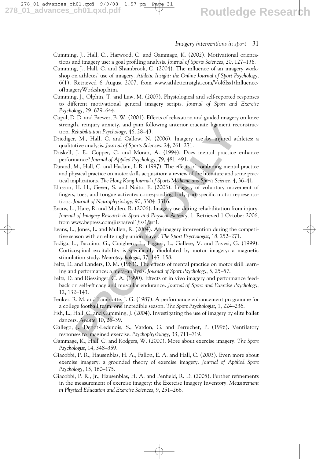- Cumming, J., Hall, C., Harwood, C. and Gammage, K. (2002). Motivational orientations and imagery use: a goal profiling analysis. *Journal of Sports Sciences*, 20, 127–136.
- Cumming, J., Hall, C. and Shambrook, C. (2004). The influence of an imagery workshop on athletes' use of imagery. *Athletic Insight: the Online Journal of Sport Psychology*, 6(1)*.* Retrieved 6 August 2007, from www.athleticinsight.com/Vol6Iss1/InfluenceofImageryWorkshop.htm.
- Cumming, J., Olphin, T. and Law, M. (2007). Physiological and self-reported responses to different motivational general imagery scripts. *Journal of Sport and Exercise Psychology*, 29, 629–644.
- Cupal, D. D. and Brewer, B. W. (2001). Effects of relaxation and guided imagery on knee strength, reinjury anxiety, and pain following anterior cruciate ligament reconstruction. *Rehabilitation Psychology*, 46, 28–43.
- Driediger, M., Hall, C. and Callow, N. (2006). Imagery use by injured athletes: a qualitative analysis. *Journal of Sports Sciences*, 24, 261–271.
- Driskell, J. E., Copper, C. and Moran, A. (1994). Does mental practice enhance performance? *Journal of Applied Psychology*, 79, 481–491.
- Durand, M., Hall, C. and Haslam, I. R. (1997). The effects of combining mental practice and physical practice on motor skills acquisition: a review of the literature and some practical implications. *The Hong Kong Journal of Sports Medicine and Sports Science*, 4, 36–41.
- In, treininy anxiety, and pain following anterior cruciate ligament reconst<br> *Rehabilitation Psychology*, 46, 28-43.<br> *P. M.*, Hall, C. and Callow, N. (2006). Imagery use by infured athlet<br>
tive analysis. Journal of Sports Ehrsson, H. H., Geyer, S. and Naito, E. (2003). Imagery of voluntary movement of fingers, toes, and tongue activates corresponding body-part-specific motor representations. *Journal of Neurophysiology*, 90, 3304–3316.
- Evans, L., Hare, R. and Mullen, R. (2006). Imagery use during rehabilitation from injury. *Journal of Imagery Research in Sport and Physical Activity*, 1. Retrieved 1 October 2006, from www.bepress.com/jirspa/vol1/iss1/art1.
- Evans, L., Jones, L. and Mullen, R. (2004). An imagery intervention during the competitive season with an elite rugby union player. *The Sport Psychologist*, 18, 252–271.
- Fadiga, L., Buccino, G., Craighero, L., Fogassi, L., Gallese, V. and Pavesi, G. (1999). Corticospinal excitability is specifically modulated by motor imagery: a magnetic stimulation study. *Neuropsychologia*, 37, 147–158.
- Feltz, D. and Landers, D. M. (1983). The effects of mental practice on motor skill learning and performance: a meta-analysis. *Journal of Sport Psychology*, 5, 25–57.
- Feltz, D. and Riessinger, C. A. (1990). Effects of in vivo imagery and performance feedback on self-efficacy and muscular endurance. *Journal of Sport and Exercise Psychology*, 12, 132–143.
- Fenker, R. M. and Lambiotte, J. G. (1987). A performance enhancement programme for a college football team: one incredible season. *The Sport Psychologist*, 1, 224–236.
- Fish, L., Hall, C. and Cumming, J. (2004). Investigating the use of imagery by elite ballet dancers. *Avante*, 10, 26–39.
- Gallego, J., Denot-Ledunois, S., Vardon, G. and Perruchet, P. (1996). Ventilatory responses to imagined exercise. *Psychophysiology*, 33, 711–719.
- Gammage, K., Hall, C. and Rodgers, W. (2000). More about exercise imagery. *The Sport Psychologist*, 14, 348–359.
- Giacobbi, P. R., Hausenblas, H. A., Fallon, E. A. and Hall, C. (2003). Even more about exercise imagery: a grounded theory of exercise imagery. *Journal of Applied Sport Psychology*, 15, 160–175.
- Giacobbi, P. R., Jr., Hausenblas, H. A. and Penfield, R. D. (2005). Further refinements in the measurement of exercise imagery: the Exercise Imagery Inventory. *Measurement in Physical Education and Exercise Sciences*, 9, 251–266.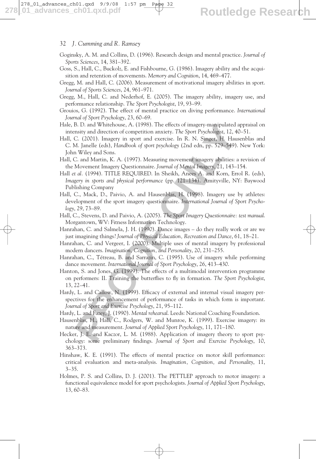# **Routledge Researd**

#### 32 *J. Cumming and R. Ramsey*

- Goginsky, A. M. and Collins, D. (1996). Research design and mental practice. *Journal of Sports Sciences*, 14, 381–392.
- Goss, S., Hall, C., Buckolz, E. and Fishbourne, G. (1986). Imagery ability and the acquisition and retention of movements. *Memory and Cognition*, 14, 469–477.
- Gregg, M. and Hall, C. (2006). Measurement of motivational imagery abilities in sport. *Journal of Sports Sciences*, 24, 961–971.
- Gregg, M., Hall, C. and Nederhof, E. (2005). The imagery ability, imagery use, and performance relationship. *The Sport Psychologist*, 19, 93–99.
- Grouios, G. (1992). The effect of mental practice on diving performance. *International Journal of Sport Psychology*, 23, 60–69.
- Hale, B. D. and Whitehouse, A. (1998). The effects of imagery-manipulated appraisal on intensity and direction of competition anxiety. *The Sport Psychologist*, 12, 40–51.
- Hall, C. (2001). Imagery in sport and exercise. In R. N. Singer, H. Hausenblas and C. M. Janelle (eds), *Handbook of sport psychology* (2nd edn, pp. 529–549). New York: John Wiley and Sons.
- Hall, C. and Martin, K. A. (1997). Measuring movement imagery abilities: a revision of the Movement Imagery Questionnaire. *Journal of Mental Imagery*, 21, 143–154.
- Hall *et al.* (1994). TITLE REQUIRED. In Sheikh, Anees A. and Korn, Errol R. (eds), *Imagery in sports and physical performance* (pp. 121–134)*.* Amityville, NY: Baywood Publishing Company
- Hall, C., Mack, D., Paivio, A. and Hausenblas, H. (1998). Imagery use by athletes: development of the sport imagery questionnaire. *International Journal of Sport Psychology*, 29, 73–89.
- Hall, C., Stevens, D. and Paivio, A. (2005). *The Sport Imagery Questionnaire: test manual*. Morgantown, WV: Fitness Information Technology.
- Hanrahan, C. and Salmela, J. H. (1990). Dance images do they really work or are we just imagining things? *Journal of Physical Education, Recreation and Dance*, 61, 18–21.
- Hanrahan, C. and Vergeer, I. (2000). Multiple uses of mental imagery by professional modern dancers. *Imagination, Cognition, and Personality*, 20, 231–255.
- Hanrahan, C., Tétreau, B. and Sarrazin, C. (1995). Use of imagery while performing dance movement. *International Journal of Sport Psychology*, 26, 413–430.
- Hanton, S. and Jones, G. (1999). The effects of a multimodal intervention programme on performers: II. Training the butterflies to fly in formation. *The Sport Psychologist*, 13, 22–41.
- B. D. and Whitchouse, A. (1998). The effects of imagery-manipulated appricians,<br> **P.1.** and direction of competition anxiety. The Sport Psychologist, 12, 40–51<br>
C. (2001). Imagery in sport and exercise. In R. N. Singer, H. Hardy, L. and Callow, N. (1999). Efficacy of external and internal visual imagery perspectives for the enhancement of performance of tasks in which form is important. *Journal of Sport and Exercise Psychology*, 21, 95–112.
- Hardy, L. and Fazey, J. (1990). *Mental rehearsal*. Leeds: National Coaching Foundation.
- Hausenblas, H., Hall, C., Rodgers, W. and Munroe, K. (1999). Exercise imagery: its nature and measurement. *Journal of Applied Sport Psychology*, 11, 171–180.
- Hecker, J. E. and Kaczor, L. M. (1988). Application of imagery theory to sport psychology: some preliminary findings. *Journal of Sport and Exercise Psychology*, 10, 363–373.
- Hinshaw, K. E. (1991). The effects of mental practice on motor skill performance: critical evaluation and meta-analysis. *Imagination, Cognition, and Personality*, 11, 3–35.
- Holmes, P. S. and Collins, D. J. (2001). The PETTLEP approach to motor imagery: a functional equivalence model for sport psychologists. *Journal of Applied Sport Psychology*, 13, 60–83.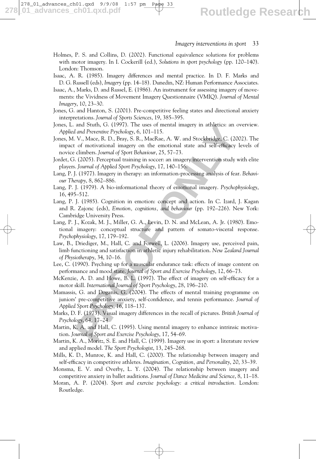# **Routledge Researd**

#### *Imagery interventions in sport* 33

- Holmes, P. S. and Collins, D. (2002). Functional equivalence solutions for problems with motor imagery. In I. Cockerill (ed.), *Solutions in sport psychology* (pp. 120–140). London: Thomson.
- Isaac, A. R. (1985). Imagery differences and mental practice. In D. F. Marks and D. G. Russell (eds), *Imagery* (pp. 14–18)*.* Dunedin, NZ: Human Performance Associates.
- Isaac, A., Marks, D. and Russel, E. (1986). An instrument for assessing imagery of movements: the Vividness of Movement Imagery Questionnaire (VMIQ). *Journal of Mental Imagery*, 10, 23–30.
- Jones, G. and Hanton, S. (2001). Pre-competitive feeling states and directional anxiety interpretations. *Journal of Sports Sciences*, 19, 385–395.
- Jones, L. and Stuth, G. (1997). The uses of mental imagery in athletics: an overview. *Applied and Preventive Psychology*, 6, 101–115.
- and Stuth, G. (1997). The uses of mental imagery in athletics: an overy<br>and Stuth, G. (1997). The uses of mental imagery in athletics: an overy<br>*L.V.*, Mace, R. D., Bray, S. R., MacRae, A. W. and Stockbridge, C. (2002).<br> Jones, M. V., Mace, R. D., Bray, S. R., MacRae, A. W. and Stockbridge, C. (2002). The impact of motivational imagery on the emotional state and self-efficacy levels of novice climbers. *Journal of Sport Behaviour*, 25, 57–73.
- Jordet, G. (2005). Perceptual training in soccer: an imagery intervention study with elite players. *Journal of Applied Sport Psychology*, 17, 140–156.
- Lang, P. J. (1977). Imagery in therapy: an information-processing analysis of fear. *Behaviour Therapy*, 8, 862–886.
- Lang, P. J. (1979). A bio-informational theory of emotional imagery. *Psychophysiology*, 16, 495–512.
- Lang, P. J. (1985). Cognition in emotion: concept and action. In C. Izard, J. Kagan and R. Zajonc (eds), *Emotion, cognitions, and behaviour* (pp. 192–226). New York: Cambridge University Press.
- Lang, P. J., Kozak, M. J., Miller, G. A., Levin, D. N. and McLean, A. Jr. (1980). Emotional imagery: conceptual structure and pattern of somato-visceral response. *Psychophysiology*, 17, 179–192.
- Law, B., Driediger, M., Hall, C. and Forwell, L. (2006). Imagery use, perceived pain, limb functioning and satisfaction in athletic injury rehabilitation. *New Zealand Journal of Physiotherapy*, 34, 10–16.
- Lee, C. (1990). Psyching up for a muscular endurance task: effects of image content on performance and mood state. *Journal of Sport and Exercise Psychology*, 12, 66–73.
- McKenzie, A. D. and Howe, B. L. (1997). The effect of imagery on self-efficacy for a motor skill. *International Journal of Sport Psychology*, 28, 196–210.
- Mamassis, G. and Doganis, G. (2004). The effects of mental training programme on juniors' pre-competitive anxiety, self-confidence, and tennis performance. *Journal of Applied Sport Psychology*, 16, 118–137.
- Marks, D. F. (1973). Visual imagery differences in the recall of pictures. *British Journal of Psychology*, 64, 17–24.
- Martin, K. A. and Hall, C. (1995). Using mental imagery to enhance intrinsic motivation. *Journal of Sport and Exercise Psychology*, 17, 54–69.
- Martin, K. A., Moritz, S. E. and Hall, C. (1999). Imagery use in sport: a literature review and applied model. *The Sport Psychologist*, 13, 245–268.
- Mills, K. D., Munroe, K. and Hall, C. (2000). The relationship between imagery and self-efficacy in competitive athletes. *Imagination, Cognition, and Personality*, 20, 33–39.
- Monsma, E. V. and Overby, L. Y. (2004). The relationship between imagery and competitive anxiety in ballet auditions. *Journal of Dance Medicine and Science*, 8, 11–18.
- Moran, A. P. (2004). *Sport and exercise psychology: a critical introduction.* London: Routledge.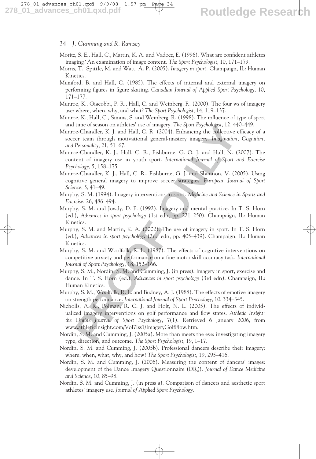- Moritz, S. E., Hall, C., Martin, K. A. and Vadocz, E. (1996). What are confident athletes imaging? An examination of image content. *The Sport Psychologist*, 10, 171–179.
- Morris, T., Spittle, M. and Watt, A. P. (2005). *Imagery in sport.* Champaign, IL: Human Kinetics.
- Mumford, B. and Hall, C. (1985). The effects of internal and external imagery on performing figures in figure skating. *Canadian Journal of Applied Sport Psychology*, 10, 171–177.
- Munroe, K., Giacobbi, P. R., Hall, C. and Weinberg, R. (2000). The four ws of imagery use: where, when, why, and what? *The Sport Psychologist*, 14, 119–137.
- Munroe, K., Hall, C., Simms, S. and Weinberg, R. (1998). The influence of type of sport and time of season on athletes' use of imagery. *The Sport Psychologist*, 12, 440–449.
- Munroe-Chandler, K. J. and Hall, C. R. (2004). Enhancing the collective efficacy of a soccer team through motivational general-mastery imagery. *Imagination, Cognition, and Personality*, 21, 51–67.
- Munroe-Chandler, K. J., Hall, C. R., Fishburne, G. O. J. and Hall, N. (2007). The content of imagery use in youth sport. *International Journal of Sport and Exercise Psychology*, 5, 158–175.
- Munroe-Chandler, K. J., Hall, C. R., Fishburne, G. J. and Shannon, V. (2005). Using cognitive general imagery to improve soccer strategies. *European Journal of Sport Science*, 5, 41–49.
- Murphy, S. M. (1994). Imagery interventions in sport. *Medicine and Science in Sports and Exercise*, 26, 486–494.
- Murphy, S. M. and Jowdy, D. P. (1992). Imagery and mental practice. In T. S. Horn (ed.), *Advances in sport psychology* (1st edn, pp. 221–250). Champaign, IL: Human Kinetics.
- Murphy, S. M. and Martin, K. A. (2002). The use of imagery in sport. In T. S. Horn (ed.), *Advances in sport psychology* (2nd edn, pp. 405–439). Champaign, IL: Human Kinetics.
- Murphy, S. M. and Woolfolk, R. L. (1987). The effects of cognitive interventions on competitive anxiety and performance on a fine motor skill accuracy task. *International Journal of Sport Psychology*, 18, 152–166.
- Murphy, S. M., Nordin, S. M. and Cumming, J. (in press). Imagery in sport, exercise and dance. In T. S. Horn (ed.), *Advances in sport psychology* (3rd edn). Champaign, IL: Human Kinetics.
- Murphy, S. M., Woolfolk, R. L. and Budney, A. J. (1988). The effects of emotive imagery on strength performance. *International Journal of Sport Psychology*, 10, 334–345.
- time of season on athletes' use of imagery. The Sport Psychologist, 12, 440-4-<br>
Pee-Chandler, K. J. and Hall, C. R. (2004). Enhancing the collective efficial<br>
Personality, 2.1, 51-67.<br>
Personality, 2.1, 51-67.<br>
Dersec-Chan Nicholls, A. R., Polman, R. C. J. and Holt, N. L. (2005). The effects of individualized imagery interventions on golf performance and flow states. *Athletic Insight: the Online Journal of Sport Psychology*, 7(1). Retrieved 6 January 2006, from www.athleticinsight.com/Vol7Iss1/ImageryGolfFlow.htm.
- Nordin, S. M. and Cumming, J. (2005a). More than meets the eye: investigating imagery type, direction, and outcome. *The Sport Psychologist*, 19, 1–17.
- Nordin, S. M. and Cumming, J. (2005b). Professional dancers describe their imagery: where, when, what, why, and how? *The Sport Psychologist*, 19, 295–416.
- Nordin, S. M. and Cumming, J. (2006). Measuring the content of dancers' images: development of the Dance Imagery Questionnaire (DIQ). *Journal of Dance Medicine and Science*, 10, 85–98.
- Nordin, S. M. and Cumming, J. (in press a). Comparison of dancers and aesthetic sport athletes' imagery use. *Journal of Applied Sport Psychology*.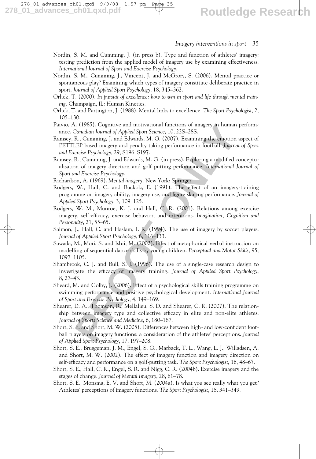# **Routledge Resear**

#### *Imagery interventions in sport* 35

- Nordin, S. M. and Cumming, J. (in press b). Type and function of athletes' imagery: testing prediction from the applied model of imagery use by examining effectiveness. *International Journal of Sport and Exercise Psychology*.
- Nordin, S. M., Cumming, J., Vincent, J. and McGrory, S. (2006). Mental practice or spontaneous play? Examining which types of imagery constitute deliberate practice in sport. *Journal of Applied Sport Psychology*, 18, 345–362.
- Orlick, T. (2000). *In pursuit of excellence: how to win in sport and life through mental training.* Champaign, IL: Human Kinetics.
- Orlick, T. and Partington, J. (1988). Mental links to excellence. *The Sport Psychologist*, 2, 105–130.
- Paivio, A. (1985). Cognitive and motivational functions of imagery in human performance. *Canadian Journal of Applied Sport Science*, 10, 22S–28S.
- Ramsey, R., Cumming, J. and Edwards, M. G. (2007). Examining the emotion aspect of PETTLEP based imagery and penalty taking performance in football. *Journal of Sport and Exercise Psychology*, 29, S196–S197.
- 1. (1985). Cognitive and motivational functions of imagery in human pert, C. Candidan Journal of Applied Sport Science, 10, 22S-28S.<br>
R., Cumming, J. and Edwards, M. G. (2007). Examining the emotion aspectrate Psychology, Ramsey, R., Cumming, J. and Edwards, M. G. (in press). Exploring a modified conceptualisation of imagery direction and golf putting performance. *International Journal of Sport and Exercise Psychology*.
- Richardson, A. (1969). *Mental imagery.* New York: Springer.
- Rodgers, W., Hall, C. and Buckolz, E. (1991). The effect of an imagery-training programme on imagery ability, imagery use, and figure skating performance. *Journal of Applied Sport Psychology*, 3, 109–125.
- Rodgers, W. M., Munroe, K. J. and Hall, C. R. (2001). Relations among exercise imagery, self-efficacy, exercise behavior, and intentions. *Imagination, Cognition and Personality*, 21, 55–65.
- Salmon, J., Hall, C. and Haslam, I. R. (1994). The use of imagery by soccer players. *Journal of Applied Sport Psychology*, 6, 116–133.
- Sawada, M., Mori, S. and Ishii, M. (2002). Effect of metaphorical verbal instruction on modelling of sequential dance skills by young children. *Perceptual and Motor Skills*, 95, 1097–1105.
- Shambrook, C. J. and Bull, S. J. (1996). The use of a single-case research design to investigate the efficacy of imagery training. *Journal of Applied Sport Psychology*, 8, 27–43.
- Sheard, M. and Golby, J. (2006). Effect of a psychological skills training programme on swimming performance and positive psychological development. *International Journal of Sport and Exercise Psychology*, 4, 149–169.
- Shearer, D. A., Thomson, R., Mellalieu, S. D. and Shearer, C. R. (2007). The relationship between imagery type and collective efficacy in elite and non-elite athletes. *Journal of Sports Science and Medicine*, 6, 180–187.
- Short, S. E. and Short, M. W. (2005). Differences between high- and low-confident football players on imagery functions: a consideration of the athletes' perceptions. *Journal of Applied Sport Psychology*, 17, 197–208.
- Short, S. E., Bruggeman, J. M., Engel, S. G., Marback, T. L., Wang, L. J., Willadsen, A. and Short, M. W. (2002). The effect of imagery function and imagery direction on self-efficacy and performance on a golf-putting task. *The Sport Psychologist*, 16, 48–67.
- Short, S. E., Hall, C. R., Engel, S. R. and Nigg, C. R. (2004b). Exercise imagery and the stages of change. *Journal of Mental Imagery*, 28, 61–78.
- Short, S. E., Monsma, E. V. and Short, M. (2004a). Is what you see really what you get? Athletes' perceptions of imagery functions. *The Sport Psychologist*, 18, 341–349.